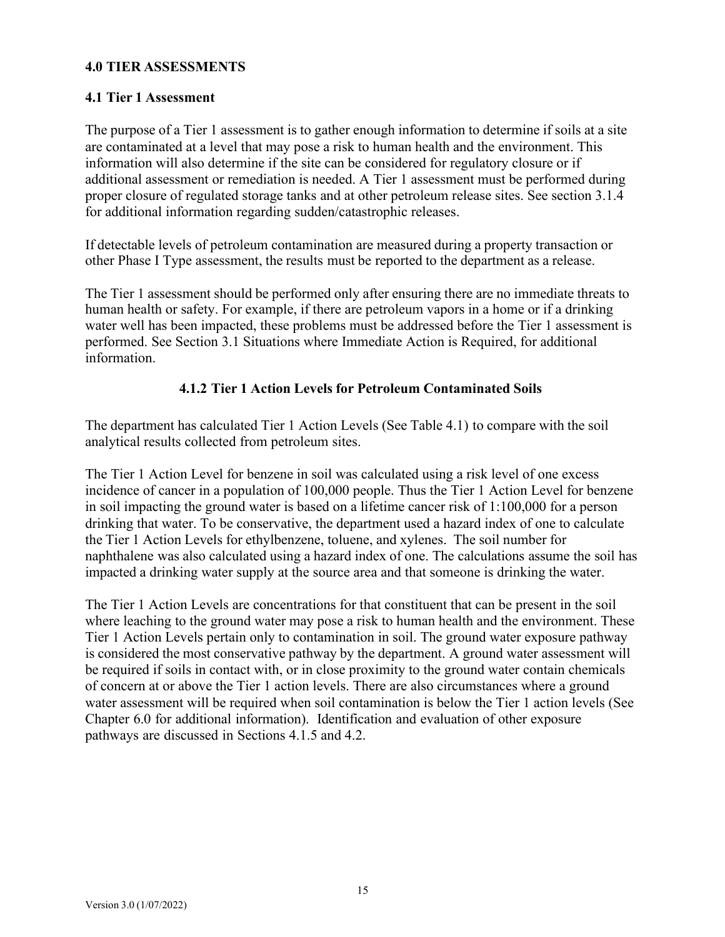#### **4.0 TIER ASSESSMENTS**

#### **4.1 Tier 1 Assessment**

The purpose of a Tier 1 assessment is to gather enough information to determine if soils at a site are contaminated at a level that may pose a risk to human health and the environment. This information will also determine if the site can be considered for regulatory closure or if additional assessment or remediation is needed. A Tier 1 assessment must be performed during proper closure of regulated storage tanks and at other petroleum release sites. See section 3.1.4 for additional information regarding sudden/catastrophic releases.

If detectable levels of petroleum contamination are measured during a property transaction or other Phase I Type assessment, the results must be reported to the department as a release.

The Tier 1 assessment should be performed only after ensuring there are no immediate threats to human health or safety. For example, if there are petroleum vapors in a home or if a drinking water well has been impacted, these problems must be addressed before the Tier 1 assessment is performed. See Section 3.1 Situations where Immediate Action is Required, for additional information.

#### **4.1.2 Tier 1 Action Levels for Petroleum Contaminated Soils**

The department has calculated Tier 1 Action Levels (See Table 4.1) to compare with the soil analytical results collected from petroleum sites.

The Tier 1 Action Level for benzene in soil was calculated using a risk level of one excess incidence of cancer in a population of 100,000 people. Thus the Tier 1 Action Level for benzene in soil impacting the ground water is based on a lifetime cancer risk of 1:100,000 for a person drinking that water. To be conservative, the department used a hazard index of one to calculate the Tier 1 Action Levels for ethylbenzene, toluene, and xylenes. The soil number for naphthalene was also calculated using a hazard index of one. The calculations assume the soil has impacted a drinking water supply at the source area and that someone is drinking the water.

The Tier 1 Action Levels are concentrations for that constituent that can be present in the soil where leaching to the ground water may pose a risk to human health and the environment. These Tier 1 Action Levels pertain only to contamination in soil. The ground water exposure pathway is considered the most conservative pathway by the department. A ground water assessment will be required if soils in contact with, or in close proximity to the ground water contain chemicals of concern at or above the Tier 1 action levels. There are also circumstances where a ground water assessment will be required when soil contamination is below the Tier 1 action levels (See Chapter 6.0 for additional information). Identification and evaluation of other exposure pathways are discussed in Sections 4.1.5 and 4.2.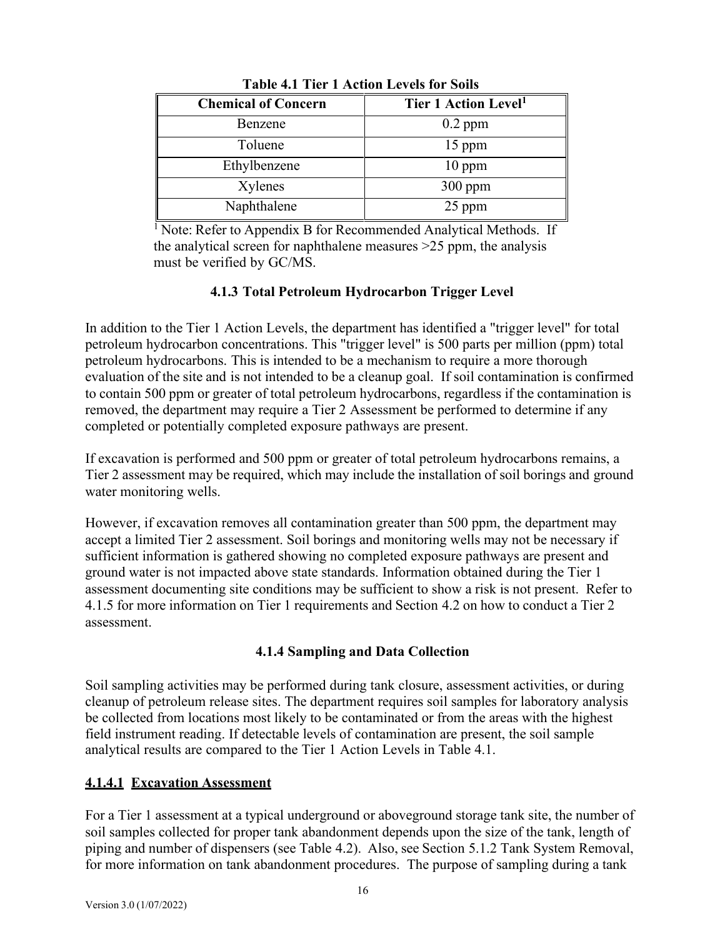| <b>Chemical of Concern</b> | Tier 1 Action Level <sup>1</sup> |
|----------------------------|----------------------------------|
| Benzene                    | $0.2$ ppm                        |
| Toluene                    | 15 ppm                           |
| Ethylbenzene               | $10$ ppm                         |
| Xylenes                    | $300$ ppm                        |
| Naphthalene                | 25 ppm                           |

**Table 4.1 Tier 1 Action Levels for Soils**

<sup>1</sup> Note: Refer to Appendix B for Recommended Analytical Methods. If the analytical screen for naphthalene measures >25 ppm, the analysis must be verified by GC/MS.

## **4.1.3 Total Petroleum Hydrocarbon Trigger Level**

In addition to the Tier 1 Action Levels, the department has identified a "trigger level" for total petroleum hydrocarbon concentrations. This "trigger level" is 500 parts per million (ppm) total petroleum hydrocarbons. This is intended to be a mechanism to require a more thorough evaluation of the site and is not intended to be a cleanup goal. If soil contamination is confirmed to contain 500 ppm or greater of total petroleum hydrocarbons, regardless if the contamination is removed, the department may require a Tier 2 Assessment be performed to determine if any completed or potentially completed exposure pathways are present.

If excavation is performed and 500 ppm or greater of total petroleum hydrocarbons remains, a Tier 2 assessment may be required, which may include the installation of soil borings and ground water monitoring wells.

However, if excavation removes all contamination greater than 500 ppm, the department may accept a limited Tier 2 assessment. Soil borings and monitoring wells may not be necessary if sufficient information is gathered showing no completed exposure pathways are present and ground water is not impacted above state standards. Information obtained during the Tier 1 assessment documenting site conditions may be sufficient to show a risk is not present. Refer to 4.1.5 for more information on Tier 1 requirements and Section 4.2 on how to conduct a Tier 2 assessment.

## **4.1.4 Sampling and Data Collection**

Soil sampling activities may be performed during tank closure, assessment activities, or during cleanup of petroleum release sites. The department requires soil samples for laboratory analysis be collected from locations most likely to be contaminated or from the areas with the highest field instrument reading. If detectable levels of contamination are present, the soil sample analytical results are compared to the Tier 1 Action Levels in Table 4.1.

## **4.1.4.1 Excavation Assessment**

For a Tier 1 assessment at a typical underground or aboveground storage tank site, the number of soil samples collected for proper tank abandonment depends upon the size of the tank, length of piping and number of dispensers (see Table 4.2). Also, see Section 5.1.2 Tank System Removal, for more information on tank abandonment procedures. The purpose of sampling during a tank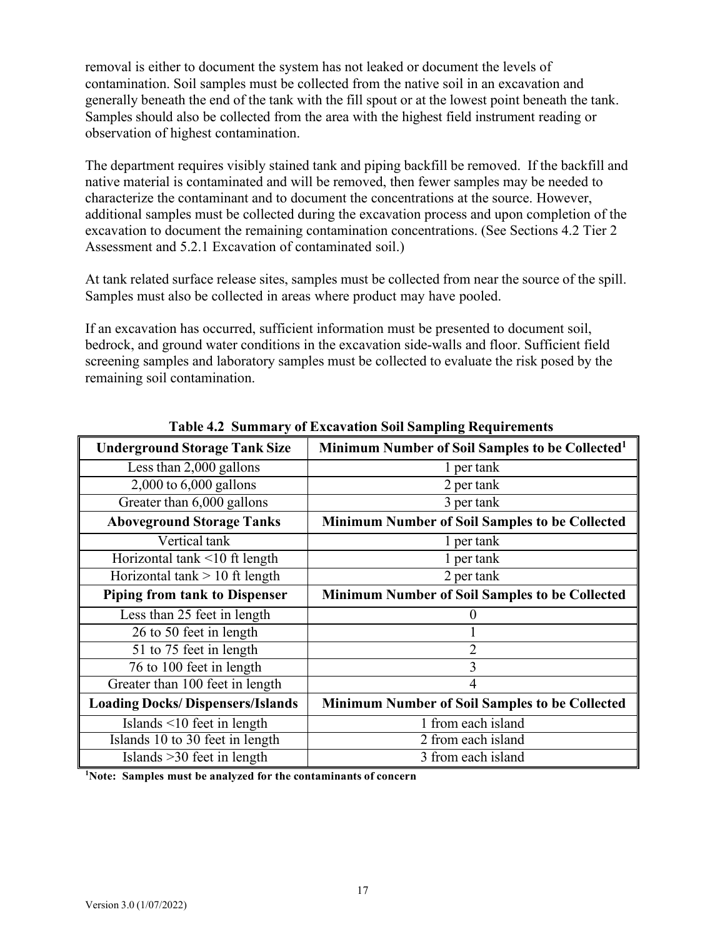removal is either to document the system has not leaked or document the levels of contamination. Soil samples must be collected from the native soil in an excavation and generally beneath the end of the tank with the fill spout or at the lowest point beneath the tank. Samples should also be collected from the area with the highest field instrument reading or observation of highest contamination.

The department requires visibly stained tank and piping backfill be removed. If the backfill and native material is contaminated and will be removed, then fewer samples may be needed to characterize the contaminant and to document the concentrations at the source. However, additional samples must be collected during the excavation process and upon completion of the excavation to document the remaining contamination concentrations. (See Sections 4.2 Tier 2 Assessment and 5.2.1 Excavation of contaminated soil.)

At tank related surface release sites, samples must be collected from near the source of the spill. Samples must also be collected in areas where product may have pooled.

If an excavation has occurred, sufficient information must be presented to document soil, bedrock, and ground water conditions in the excavation side-walls and floor. Sufficient field screening samples and laboratory samples must be collected to evaluate the risk posed by the remaining soil contamination.

| <b>Underground Storage Tank Size</b>    | Minimum Number of Soil Samples to be Collected <sup>1</sup> |
|-----------------------------------------|-------------------------------------------------------------|
| Less than 2,000 gallons                 | 1 per tank                                                  |
| 2,000 to 6,000 gallons                  | 2 per tank                                                  |
| Greater than 6,000 gallons              | 3 per tank                                                  |
| <b>Aboveground Storage Tanks</b>        | Minimum Number of Soil Samples to be Collected              |
| Vertical tank                           | 1 per tank                                                  |
| Horizontal tank <10 ft length           | 1 per tank                                                  |
| Horizontal tank $> 10$ ft length        | 2 per tank                                                  |
| <b>Piping from tank to Dispenser</b>    | <b>Minimum Number of Soil Samples to be Collected</b>       |
| Less than 25 feet in length             | $\theta$                                                    |
| 26 to 50 feet in length                 |                                                             |
| 51 to 75 feet in length                 | $\overline{2}$                                              |
| 76 to 100 feet in length                | 3                                                           |
| Greater than 100 feet in length         | 4                                                           |
| <b>Loading Docks/Dispensers/Islands</b> | <b>Minimum Number of Soil Samples to be Collected</b>       |
| Islands $\leq 10$ feet in length        | 1 from each island                                          |
| Islands 10 to 30 feet in length         | 2 from each island                                          |
| Islands $>30$ feet in length            | 3 from each island                                          |

**Table 4.2 Summary of Excavation Soil Sampling Requirements**

**1 Note: Samples must be analyzed for the contaminants of concern**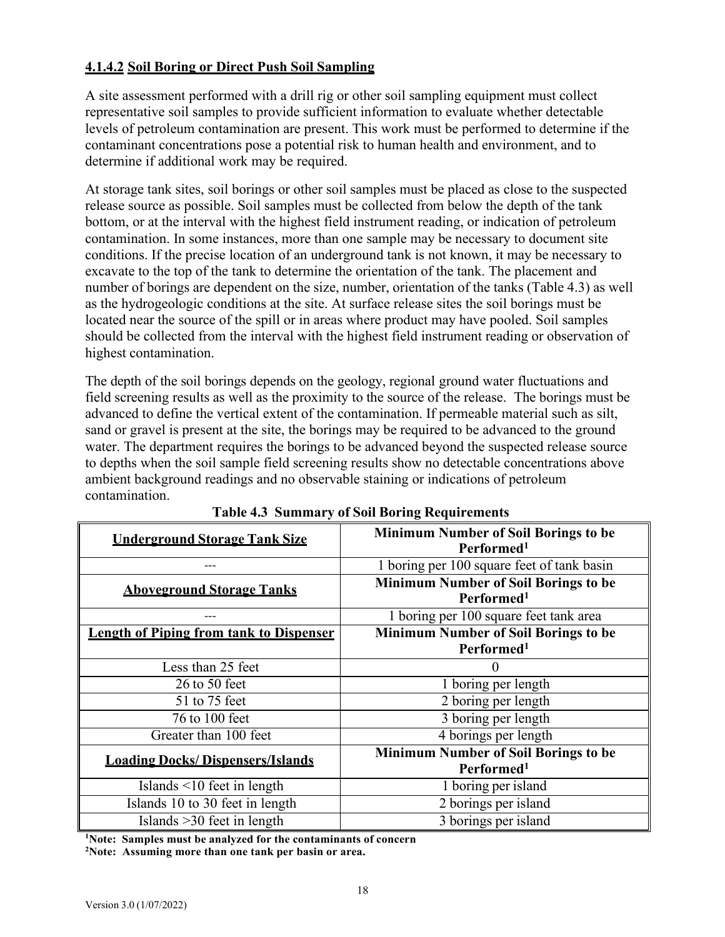## **4.1.4.2 Soil Boring or Direct Push Soil Sampling**

A site assessment performed with a drill rig or other soil sampling equipment must collect representative soil samples to provide sufficient information to evaluate whether detectable levels of petroleum contamination are present. This work must be performed to determine if the contaminant concentrations pose a potential risk to human health and environment, and to determine if additional work may be required.

At storage tank sites, soil borings or other soil samples must be placed as close to the suspected release source as possible. Soil samples must be collected from below the depth of the tank bottom, or at the interval with the highest field instrument reading, or indication of petroleum contamination. In some instances, more than one sample may be necessary to document site conditions. If the precise location of an underground tank is not known, it may be necessary to excavate to the top of the tank to determine the orientation of the tank. The placement and number of borings are dependent on the size, number, orientation of the tanks (Table 4.3) as well as the hydrogeologic conditions at the site. At surface release sites the soil borings must be located near the source of the spill or in areas where product may have pooled. Soil samples should be collected from the interval with the highest field instrument reading or observation of highest contamination.

The depth of the soil borings depends on the geology, regional ground water fluctuations and field screening results as well as the proximity to the source of the release. The borings must be advanced to define the vertical extent of the contamination. If permeable material such as silt, sand or gravel is present at the site, the borings may be required to be advanced to the ground water. The department requires the borings to be advanced beyond the suspected release source to depths when the soil sample field screening results show no detectable concentrations above ambient background readings and no observable staining or indications of petroleum contamination.

| <b>Underground Storage Tank Size</b>           | <b>Minimum Number of Soil Borings to be</b><br>Performed <sup>1</sup> |
|------------------------------------------------|-----------------------------------------------------------------------|
|                                                | 1 boring per 100 square feet of tank basin                            |
| <b>Aboveground Storage Tanks</b>               | <b>Minimum Number of Soil Borings to be</b><br>Performed <sup>1</sup> |
|                                                | 1 boring per 100 square feet tank area                                |
| <b>Length of Piping from tank to Dispenser</b> | Minimum Number of Soil Borings to be                                  |
|                                                | Performed <sup>1</sup>                                                |
| Less than 25 feet                              |                                                                       |
| $26$ to $50$ feet                              | 1 boring per length                                                   |
| 51 to 75 feet                                  | $\overline{2}$ boring per length                                      |
| 76 to 100 feet                                 | 3 boring per length                                                   |
| Greater than 100 feet                          | 4 borings per length                                                  |
| <b>Loading Docks/Dispensers/Islands</b>        | <b>Minimum Number of Soil Borings to be</b>                           |
|                                                | Performed <sup>1</sup>                                                |
| Islands $\leq 10$ feet in length               | 1 boring per island                                                   |
| Islands 10 to 30 feet in length                | 2 borings per island                                                  |
| Islands $>30$ feet in length                   | $\overline{3}$ borings per island                                     |

#### **Table 4.3 Summary of Soil Boring Requirements**

**1 Note: Samples must be analyzed for the contaminants of concern**

**2 Note: Assuming more than one tank per basin or area.**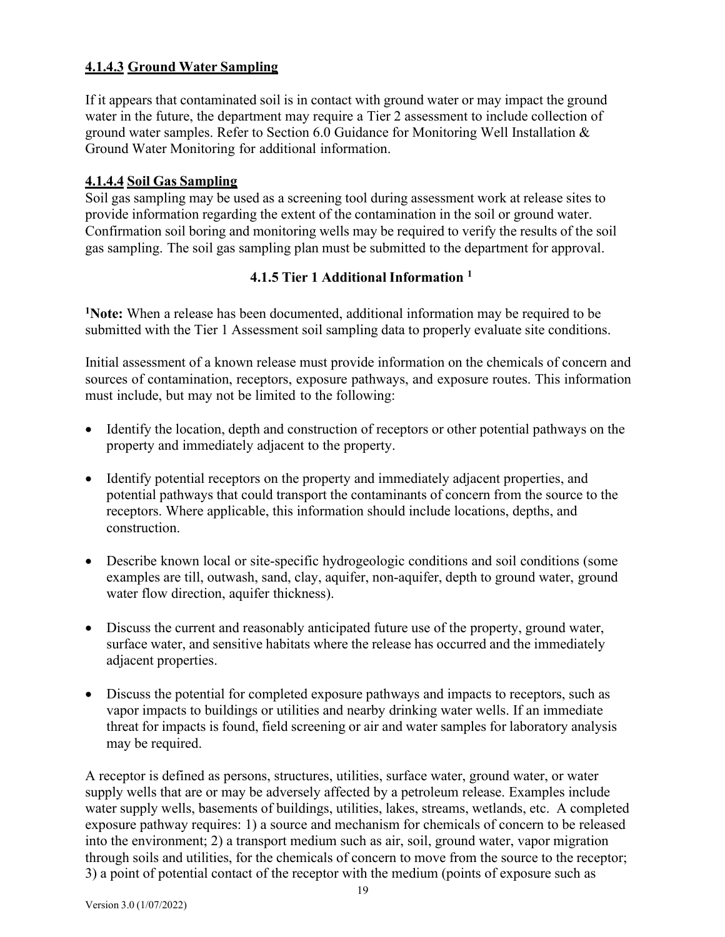## **4.1.4.3 Ground Water Sampling**

If it appears that contaminated soil is in contact with ground water or may impact the ground water in the future, the department may require a Tier 2 assessment to include collection of ground water samples. Refer to Section 6.0 Guidance for Monitoring Well Installation & Ground Water Monitoring for additional information.

## **4.1.4.4 Soil Gas Sampling**

Soil gas sampling may be used as a screening tool during assessment work at release sites to provide information regarding the extent of the contamination in the soil or ground water. Confirmation soil boring and monitoring wells may be required to verify the results of the soil gas sampling. The soil gas sampling plan must be submitted to the department for approval.

## **4.1.5 Tier 1 Additional Information <sup>1</sup>**

**1Note:** When a release has been documented, additional information may be required to be submitted with the Tier 1 Assessment soil sampling data to properly evaluate site conditions.

Initial assessment of a known release must provide information on the chemicals of concern and sources of contamination, receptors, exposure pathways, and exposure routes. This information must include, but may not be limited to the following:

- Identify the location, depth and construction of receptors or other potential pathways on the property and immediately adjacent to the property.
- Identify potential receptors on the property and immediately adjacent properties, and potential pathways that could transport the contaminants of concern from the source to the receptors. Where applicable, this information should include locations, depths, and construction.
- Describe known local or site-specific hydrogeologic conditions and soil conditions (some examples are till, outwash, sand, clay, aquifer, non-aquifer, depth to ground water, ground water flow direction, aquifer thickness).
- Discuss the current and reasonably anticipated future use of the property, ground water, surface water, and sensitive habitats where the release has occurred and the immediately adjacent properties.
- Discuss the potential for completed exposure pathways and impacts to receptors, such as vapor impacts to buildings or utilities and nearby drinking water wells. If an immediate threat for impacts is found, field screening or air and water samples for laboratory analysis may be required.

A receptor is defined as persons, structures, utilities, surface water, ground water, or water supply wells that are or may be adversely affected by a petroleum release. Examples include water supply wells, basements of buildings, utilities, lakes, streams, wetlands, etc. A completed exposure pathway requires: 1) a source and mechanism for chemicals of concern to be released into the environment; 2) a transport medium such as air, soil, ground water, vapor migration through soils and utilities, for the chemicals of concern to move from the source to the receptor; 3) a point of potential contact of the receptor with the medium (points of exposure such as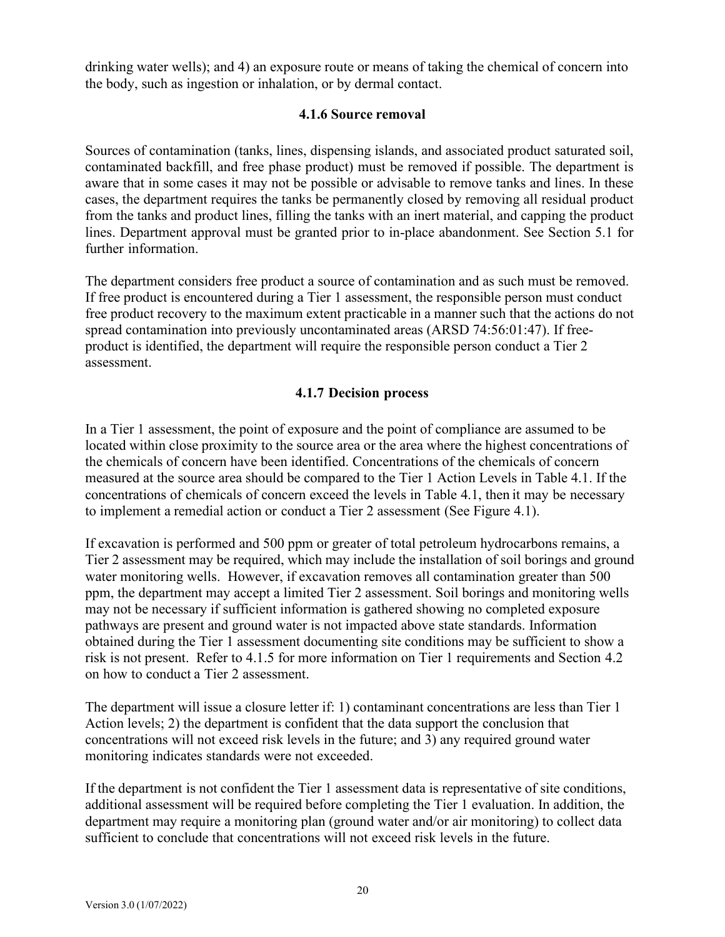drinking water wells); and 4) an exposure route or means of taking the chemical of concern into the body, such as ingestion or inhalation, or by dermal contact.

### **4.1.6 Source removal**

Sources of contamination (tanks, lines, dispensing islands, and associated product saturated soil, contaminated backfill, and free phase product) must be removed if possible. The department is aware that in some cases it may not be possible or advisable to remove tanks and lines. In these cases, the department requires the tanks be permanently closed by removing all residual product from the tanks and product lines, filling the tanks with an inert material, and capping the product lines. Department approval must be granted prior to in-place abandonment. See Section 5.1 for further information.

The department considers free product a source of contamination and as such must be removed. If free product is encountered during a Tier 1 assessment, the responsible person must conduct free product recovery to the maximum extent practicable in a manner such that the actions do not spread contamination into previously uncontaminated areas (ARSD 74:56:01:47). If freeproduct is identified, the department will require the responsible person conduct a Tier 2 assessment.

## **4.1.7 Decision process**

In a Tier 1 assessment, the point of exposure and the point of compliance are assumed to be located within close proximity to the source area or the area where the highest concentrations of the chemicals of concern have been identified. Concentrations of the chemicals of concern measured at the source area should be compared to the Tier 1 Action Levels in Table 4.1. If the concentrations of chemicals of concern exceed the levels in Table 4.1, then it may be necessary to implement a remedial action or conduct a Tier 2 assessment (See Figure 4.1).

If excavation is performed and 500 ppm or greater of total petroleum hydrocarbons remains, a Tier 2 assessment may be required, which may include the installation of soil borings and ground water monitoring wells. However, if excavation removes all contamination greater than 500 ppm, the department may accept a limited Tier 2 assessment. Soil borings and monitoring wells may not be necessary if sufficient information is gathered showing no completed exposure pathways are present and ground water is not impacted above state standards. Information obtained during the Tier 1 assessment documenting site conditions may be sufficient to show a risk is not present. Refer to 4.1.5 for more information on Tier 1 requirements and Section 4.2 on how to conduct a Tier 2 assessment.

The department will issue a closure letter if: 1) contaminant concentrations are less than Tier 1 Action levels; 2) the department is confident that the data support the conclusion that concentrations will not exceed risk levels in the future; and 3) any required ground water monitoring indicates standards were not exceeded.

If the department is not confident the Tier 1 assessment data is representative of site conditions, additional assessment will be required before completing the Tier 1 evaluation. In addition, the department may require a monitoring plan (ground water and/or air monitoring) to collect data sufficient to conclude that concentrations will not exceed risk levels in the future.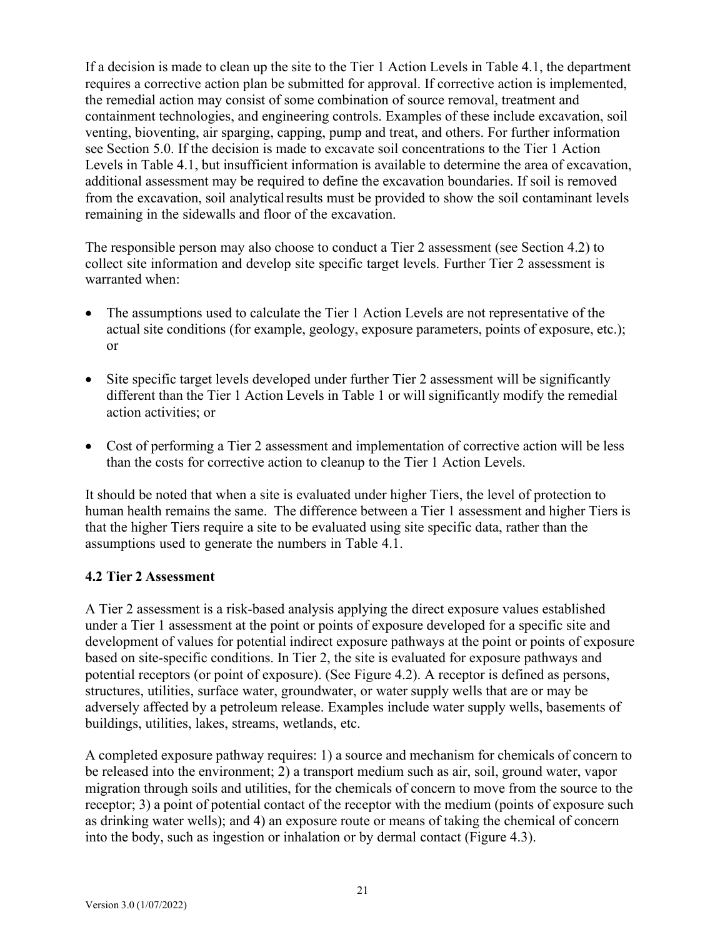If a decision is made to clean up the site to the Tier 1 Action Levels in Table 4.1, the department requires a corrective action plan be submitted for approval. If corrective action is implemented, the remedial action may consist of some combination of source removal, treatment and containment technologies, and engineering controls. Examples of these include excavation, soil venting, bioventing, air sparging, capping, pump and treat, and others. For further information see Section 5.0. If the decision is made to excavate soil concentrations to the Tier 1 Action Levels in Table 4.1, but insufficient information is available to determine the area of excavation, additional assessment may be required to define the excavation boundaries. If soil is removed from the excavation, soil analytical results must be provided to show the soil contaminant levels remaining in the sidewalls and floor of the excavation.

The responsible person may also choose to conduct a Tier 2 assessment (see Section 4.2) to collect site information and develop site specific target levels. Further Tier 2 assessment is warranted when:

- The assumptions used to calculate the Tier 1 Action Levels are not representative of the actual site conditions (for example, geology, exposure parameters, points of exposure, etc.); or
- Site specific target levels developed under further Tier 2 assessment will be significantly different than the Tier 1 Action Levels in Table 1 or will significantly modify the remedial action activities; or
- Cost of performing a Tier 2 assessment and implementation of corrective action will be less than the costs for corrective action to cleanup to the Tier 1 Action Levels.

It should be noted that when a site is evaluated under higher Tiers, the level of protection to human health remains the same. The difference between a Tier 1 assessment and higher Tiers is that the higher Tiers require a site to be evaluated using site specific data, rather than the assumptions used to generate the numbers in Table 4.1.

## **4.2 Tier 2 Assessment**

A Tier 2 assessment is a risk-based analysis applying the direct exposure values established under a Tier 1 assessment at the point or points of exposure developed for a specific site and development of values for potential indirect exposure pathways at the point or points of exposure based on site-specific conditions. In Tier 2, the site is evaluated for exposure pathways and potential receptors (or point of exposure). (See Figure 4.2). A receptor is defined as persons, structures, utilities, surface water, groundwater, or water supply wells that are or may be adversely affected by a petroleum release. Examples include water supply wells, basements of buildings, utilities, lakes, streams, wetlands, etc.

A completed exposure pathway requires: 1) a source and mechanism for chemicals of concern to be released into the environment; 2) a transport medium such as air, soil, ground water, vapor migration through soils and utilities, for the chemicals of concern to move from the source to the receptor; 3) a point of potential contact of the receptor with the medium (points of exposure such as drinking water wells); and 4) an exposure route or means of taking the chemical of concern into the body, such as ingestion or inhalation or by dermal contact (Figure 4.3).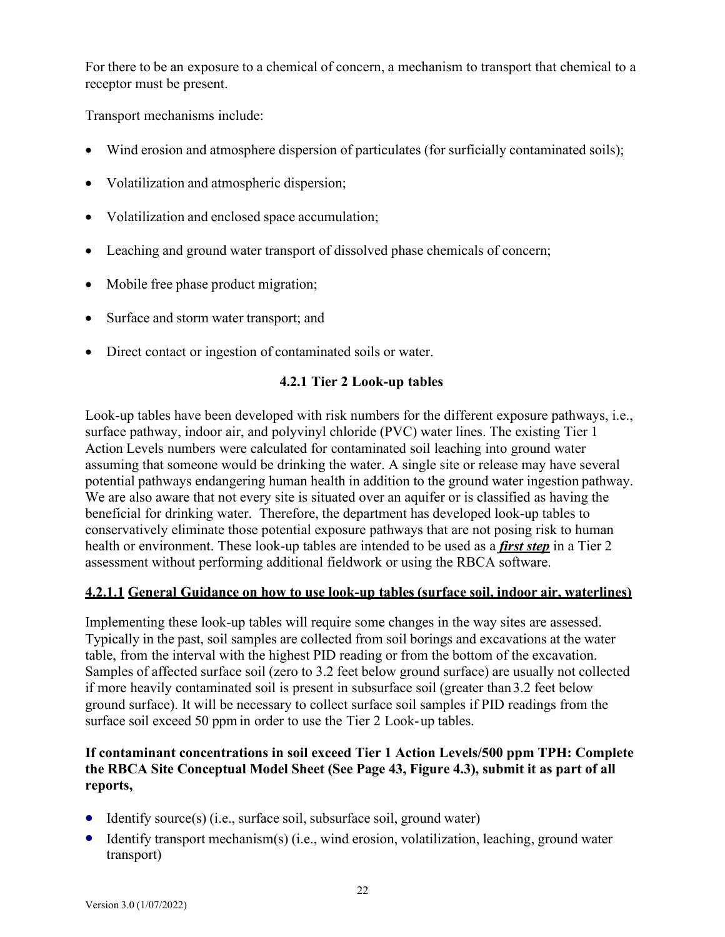For there to be an exposure to a chemical of concern, a mechanism to transport that chemical to a receptor must be present.

Transport mechanisms include:

- Wind erosion and atmosphere dispersion of particulates (for surficially contaminated soils);
- Volatilization and atmospheric dispersion;
- Volatilization and enclosed space accumulation;
- Leaching and ground water transport of dissolved phase chemicals of concern;
- Mobile free phase product migration;
- Surface and storm water transport; and
- Direct contact or ingestion of contaminated soils or water.

## **4.2.1 Tier 2 Look-up tables**

Look-up tables have been developed with risk numbers for the different exposure pathways, i.e., surface pathway, indoor air, and polyvinyl chloride (PVC) water lines. The existing Tier 1 Action Levels numbers were calculated for contaminated soil leaching into ground water assuming that someone would be drinking the water. A single site or release may have several potential pathways endangering human health in addition to the ground water ingestion pathway. We are also aware that not every site is situated over an aquifer or is classified as having the beneficial for drinking water. Therefore, the department has developed look-up tables to conservatively eliminate those potential exposure pathways that are not posing risk to human health or environment. These look-up tables are intended to be used as a *first step* in a Tier 2 assessment without performing additional fieldwork or using the RBCA software.

## **4.2.1.1 General Guidance on how to use look-up tables (surface soil, indoor air, waterlines)**

Implementing these look-up tables will require some changes in the way sites are assessed. Typically in the past, soil samples are collected from soil borings and excavations at the water table, from the interval with the highest PID reading or from the bottom of the excavation. Samples of affected surface soil (zero to 3.2 feet below ground surface) are usually not collected if more heavily contaminated soil is present in subsurface soil (greater than3.2 feet below ground surface). It will be necessary to collect surface soil samples if PID readings from the surface soil exceed 50 ppm in order to use the Tier 2 Look-up tables.

## **If contaminant concentrations in soil exceed Tier 1 Action Levels/500 ppm TPH: Complete the RBCA Site Conceptual Model Sheet (See Page 43, Figure 4.3), submit it as part of all reports,**

- Identify source(s) (i.e., surface soil, subsurface soil, ground water)
- Identify transport mechanism(s) (i.e., wind erosion, volatilization, leaching, ground water transport)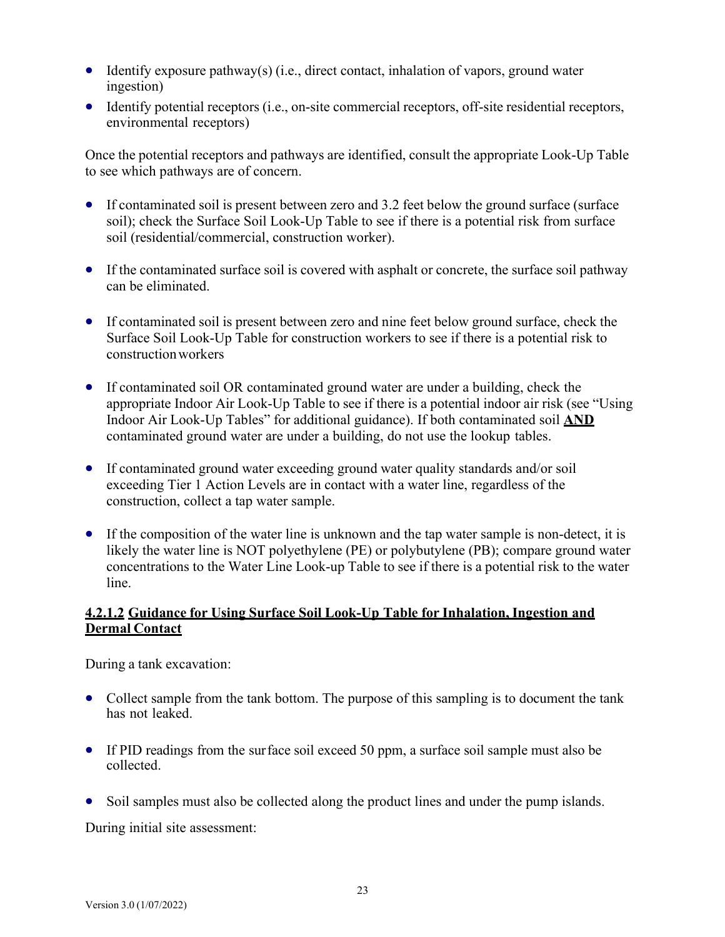- Identify exposure pathway(s) (i.e., direct contact, inhalation of vapors, ground water ingestion)
- Identify potential receptors (i.e., on-site commercial receptors, off-site residential receptors, environmental receptors)

Once the potential receptors and pathways are identified, consult the appropriate Look-Up Table to see which pathways are of concern.

- If contaminated soil is present between zero and 3.2 feet below the ground surface (surface) soil); check the Surface Soil Look-Up Table to see if there is a potential risk from surface soil (residential/commercial, construction worker).
- If the contaminated surface soil is covered with asphalt or concrete, the surface soil pathway can be eliminated.
- If contaminated soil is present between zero and nine feet below ground surface, check the Surface Soil Look-Up Table for construction workers to see if there is a potential risk to constructionworkers
- If contaminated soil OR contaminated ground water are under a building, check the appropriate Indoor Air Look-Up Table to see if there is a potential indoor air risk (see "Using Indoor Air Look-Up Tables" for additional guidance). If both contaminated soil **AND** contaminated ground water are under a building, do not use the lookup tables.
- If contaminated ground water exceeding ground water quality standards and/or soil exceeding Tier 1 Action Levels are in contact with a water line, regardless of the construction, collect a tap water sample.
- If the composition of the water line is unknown and the tap water sample is non-detect, it is likely the water line is NOT polyethylene (PE) or polybutylene (PB); compare ground water concentrations to the Water Line Look-up Table to see if there is a potential risk to the water line.

## **4.2.1.2 Guidance for Using Surface Soil Look-Up Table for Inhalation, Ingestion and Dermal Contact**

During a tank excavation:

- Collect sample from the tank bottom. The purpose of this sampling is to document the tank has not leaked.
- If PID readings from the surface soil exceed 50 ppm, a surface soil sample must also be collected.
- Soil samples must also be collected along the product lines and under the pump islands.

During initial site assessment: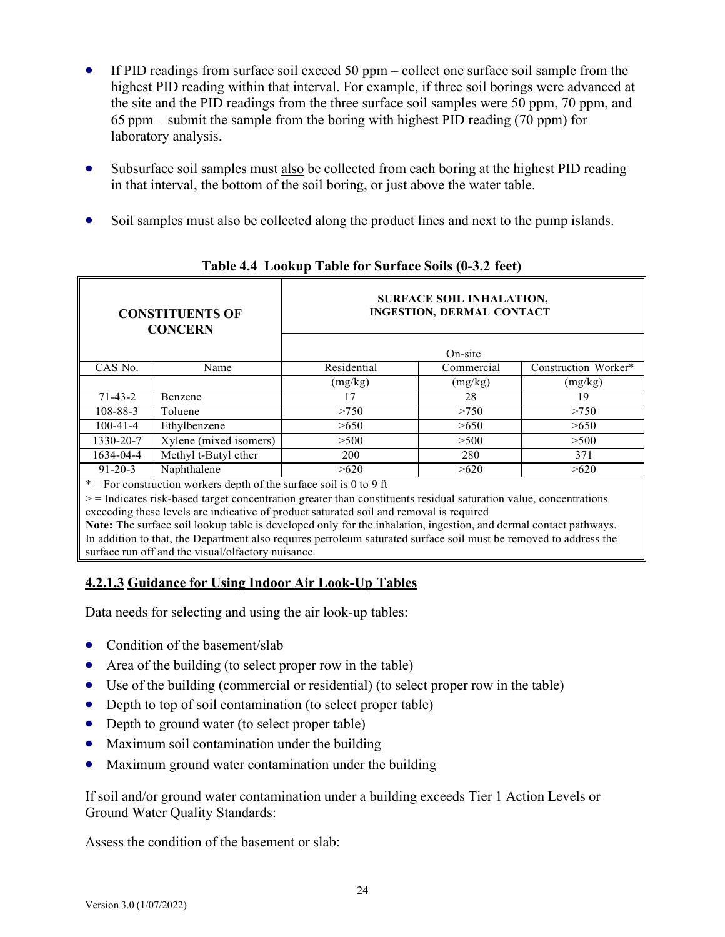- If PID readings from surface soil exceed 50 ppm collect one surface soil sample from the highest PID reading within that interval. For example, if three soil borings were advanced at the site and the PID readings from the three surface soil samples were 50 ppm, 70 ppm, and 65 ppm – submit the sample from the boring with highest PID reading (70 ppm) for laboratory analysis.
- Subsurface soil samples must also be collected from each boring at the highest PID reading in that interval, the bottom of the soil boring, or just above the water table.
- Soil samples must also be collected along the product lines and next to the pump islands.

| <b>CONSTITUENTS OF</b><br><b>CONCERN</b> |                                                                                                                                                                                                                                                                                                                                     |             | <b>SURFACE SOIL INHALATION,</b><br><b>INGESTION, DERMAL CONTACT</b> |                      |
|------------------------------------------|-------------------------------------------------------------------------------------------------------------------------------------------------------------------------------------------------------------------------------------------------------------------------------------------------------------------------------------|-------------|---------------------------------------------------------------------|----------------------|
|                                          |                                                                                                                                                                                                                                                                                                                                     |             | On-site                                                             |                      |
| CAS No.                                  | Name                                                                                                                                                                                                                                                                                                                                | Residential | Commercial                                                          | Construction Worker* |
|                                          |                                                                                                                                                                                                                                                                                                                                     | (mg/kg)     | (mg/kg)                                                             | (mg/kg)              |
| $71 - 43 - 2$                            | Benzene                                                                                                                                                                                                                                                                                                                             | 17          | 28                                                                  | 19                   |
| $108 - 88 - 3$                           | Toluene                                                                                                                                                                                                                                                                                                                             | >750        | >750                                                                | >750                 |
| $100 - 41 - 4$                           | Ethylbenzene                                                                                                                                                                                                                                                                                                                        | >650        | >650                                                                | >650                 |
| 1330-20-7                                | Xylene (mixed isomers)                                                                                                                                                                                                                                                                                                              | >500        | >500                                                                | >500                 |
| 1634-04-4                                | Methyl t-Butyl ether                                                                                                                                                                                                                                                                                                                | <b>200</b>  | 280                                                                 | 371                  |
| $91 - 20 - 3$                            | Naphthalene                                                                                                                                                                                                                                                                                                                         | >620        | >620                                                                | >620                 |
|                                          | $*$ = For construction workers depth of the surface soil is 0 to 9 ft                                                                                                                                                                                                                                                               |             |                                                                     |                      |
|                                          | $\ge$ = Indicates risk-based target concentration greater than constituents residual saturation value, concentrations<br>exceeding these levels are indicative of product saturated soil and removal is required<br>Note: The surface soil lookin table is developed only for the inhelation ingestion, and dermal contact pathways |             |                                                                     |                      |

#### **Table 4.4 Lookup Table for Surface Soils (0-3.2 feet)**

**Note:** The surface soil lookup table is developed only for the inhalation, ingestion, and dermal contact pathways. In addition to that, the Department also requires petroleum saturated surface soil must be removed to address the surface run off and the visual/olfactory nuisance.

# **4.2.1.3 Guidance for Using Indoor Air Look-Up Tables**

Data needs for selecting and using the air look-up tables:

- Condition of the basement/slab
- Area of the building (to select proper row in the table)
- Use of the building (commercial or residential) (to select proper row in the table)
- Depth to top of soil contamination (to select proper table)
- Depth to ground water (to select proper table)
- Maximum soil contamination under the building
- Maximum ground water contamination under the building

If soil and/or ground water contamination under a building exceeds Tier 1 Action Levels or Ground Water Quality Standards:

Assess the condition of the basement or slab: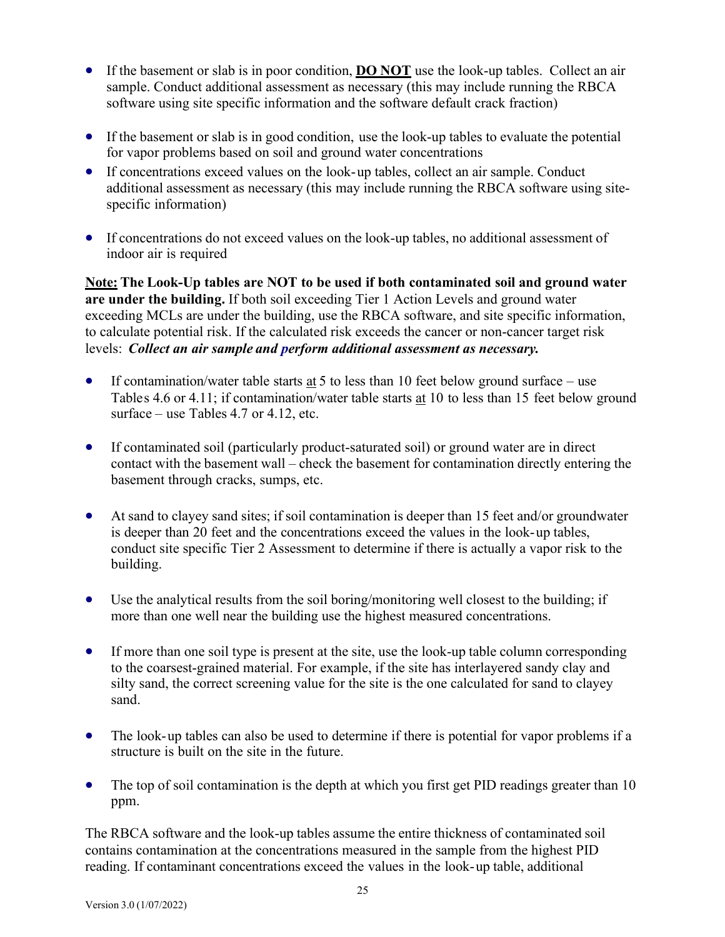- If the basement or slab is in poor condition, **DO NOT** use the look-up tables. Collect an air sample. Conduct additional assessment as necessary (this may include running the RBCA software using site specific information and the software default crack fraction)
- If the basement or slab is in good condition, use the look-up tables to evaluate the potential for vapor problems based on soil and ground water concentrations
- If concentrations exceed values on the look-up tables, collect an air sample. Conduct additional assessment as necessary (this may include running the RBCA software using sitespecific information)
- If concentrations do not exceed values on the look-up tables, no additional assessment of indoor air is required

**Note: The Look-Up tables are NOT to be used if both contaminated soil and ground water are under the building.** If both soil exceeding Tier 1 Action Levels and ground water exceeding MCLs are under the building, use the RBCA software, and site specific information, to calculate potential risk. If the calculated risk exceeds the cancer or non-cancer target risk levels: *Collect an air sample and perform additional assessment as necessary.*

- If contamination/water table starts  $\underline{at} 5$  to less than 10 feet below ground surface use Tables 4.6 or 4.11; if contamination/water table starts at 10 to less than 15 feet below ground surface – use Tables 4.7 or 4.12, etc.
- If contaminated soil (particularly product-saturated soil) or ground water are in direct contact with the basement wall – check the basement for contamination directly entering the basement through cracks, sumps, etc.
- At sand to clayey sand sites; if soil contamination is deeper than 15 feet and/or groundwater is deeper than 20 feet and the concentrations exceed the values in the look-up tables, conduct site specific Tier 2 Assessment to determine if there is actually a vapor risk to the building.
- Use the analytical results from the soil boring/monitoring well closest to the building; if more than one well near the building use the highest measured concentrations.
- If more than one soil type is present at the site, use the look-up table column corresponding to the coarsest-grained material. For example, if the site has interlayered sandy clay and silty sand, the correct screening value for the site is the one calculated for sand to clayey sand.
- The look-up tables can also be used to determine if there is potential for vapor problems if a structure is built on the site in the future.
- The top of soil contamination is the depth at which you first get PID readings greater than 10 ppm.

The RBCA software and the look-up tables assume the entire thickness of contaminated soil contains contamination at the concentrations measured in the sample from the highest PID reading. If contaminant concentrations exceed the values in the look-up table, additional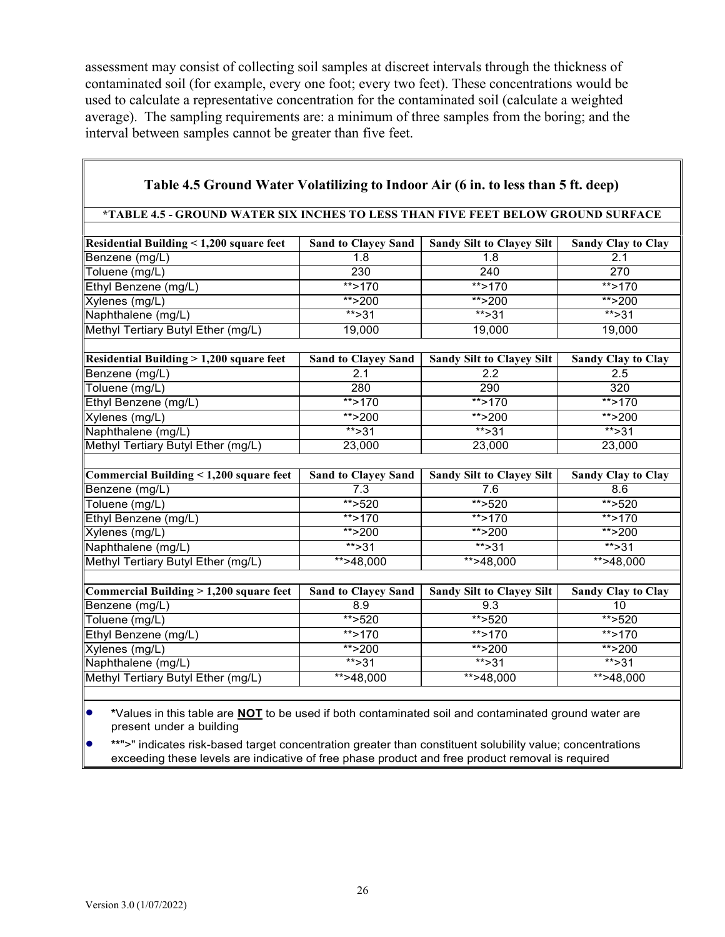assessment may consist of collecting soil samples at discreet intervals through the thickness of contaminated soil (for example, every one foot; every two feet). These concentrations would be used to calculate a representative concentration for the contaminated soil (calculate a weighted average). The sampling requirements are: a minimum of three samples from the boring; and the interval between samples cannot be greater than five feet.

| Table 4.5 Ground Water Volatilizing to Indoor Air (6 in. to less than 5 ft. deep)                                        |                            |                                  |                           |  |
|--------------------------------------------------------------------------------------------------------------------------|----------------------------|----------------------------------|---------------------------|--|
| *TABLE 4.5 - GROUND WATER SIX INCHES TO LESS THAN FIVE FEET BELOW GROUND SURFACE                                         |                            |                                  |                           |  |
|                                                                                                                          |                            |                                  |                           |  |
| Residential Building < 1,200 square feet                                                                                 | <b>Sand to Clayey Sand</b> | <b>Sandy Silt to Clayey Silt</b> | <b>Sandy Clay to Clay</b> |  |
| Benzene (mg/L)                                                                                                           | $\overline{1.8}$           | 1.8                              | $\overline{2.1}$          |  |
| Toluene (mg/L)                                                                                                           | 230                        | 240                              | 270                       |  |
| Ethyl Benzene (mg/L)                                                                                                     | $**$ >170                  | **>170                           | $**$ >170                 |  |
| Xylenes (mg/L)                                                                                                           | **>200                     | ** $>200$                        | ** $>200$                 |  |
| Naphthalene (mg/L)                                                                                                       | $***$ >31                  | $***$ > 31                       | $***$ > 31                |  |
| Methyl Tertiary Butyl Ether (mg/L)                                                                                       | 19,000                     | 19,000                           | 19,000                    |  |
|                                                                                                                          |                            |                                  |                           |  |
| Residential Building > 1,200 square feet                                                                                 | <b>Sand to Clayey Sand</b> | <b>Sandy Silt to Clayey Silt</b> | <b>Sandy Clay to Clay</b> |  |
| Benzene (mg/L)                                                                                                           | 2.1                        | 2.2                              | 2.5                       |  |
| Toluene (mg/L)                                                                                                           | 280                        | 290                              | 320                       |  |
| Ethyl Benzene (mg/L)                                                                                                     | **>170                     | **>170                           | $**$ >170                 |  |
| Xylenes (mg/L)                                                                                                           | **>200                     | **>200                           | **>200                    |  |
| Naphthalene (mg/L)                                                                                                       | $** > 31$                  | $** > 31$                        | $** > 31$                 |  |
| Methyl Tertiary Butyl Ether (mg/L)                                                                                       | 23,000                     | 23,000                           | 23,000                    |  |
|                                                                                                                          |                            |                                  |                           |  |
| Commercial Building < 1,200 square feet                                                                                  | <b>Sand to Clayey Sand</b> | <b>Sandy Silt to Clayey Silt</b> | <b>Sandy Clay to Clay</b> |  |
| Benzene (mg/L)                                                                                                           | 7.3                        | 7.6                              | 8.6                       |  |
| Toluene (mg/L)                                                                                                           | $*$ > 520                  | ** $>520$                        | ** $>520$                 |  |
| Ethyl Benzene (mg/L)                                                                                                     | $*$ >170                   | $**$ >170                        | $**$ >170                 |  |
| Xylenes (mg/L)                                                                                                           | $*$ > 200                  | $*$ > 200                        | **>200                    |  |
| Naphthalene (mg/L)                                                                                                       | $***31$                    | $***31$                          | $***31$                   |  |
| Methyl Tertiary Butyl Ether (mg/L)                                                                                       | $** > 48,000$              | $*+548,000$                      | **>48,000                 |  |
|                                                                                                                          |                            |                                  |                           |  |
| Commercial Building > 1,200 square feet                                                                                  | <b>Sand to Clayey Sand</b> | <b>Sandy Silt to Clayey Silt</b> | <b>Sandy Clay to Clay</b> |  |
| Benzene (mg/L)                                                                                                           | 8.9                        | 9.3                              | 10                        |  |
| Toluene (mg/L)                                                                                                           | $*$ >520                   | ** $>520$                        | **>520                    |  |
| Ethyl Benzene (mg/L)                                                                                                     | **>170                     | **>170                           | $**$ >170                 |  |
| Xylenes (mg/L)                                                                                                           | **>200                     | ** $>200$                        | $*$ >200                  |  |
| Naphthalene (mg/L)                                                                                                       | $*$ > 31                   | $*$ > 31                         | $*$ > 31                  |  |
| Methyl Tertiary Butyl Ether (mg/L)                                                                                       | $** > 48,000$              | $** > 48,000$                    | $\overline{**}$ >48,000   |  |
|                                                                                                                          |                            |                                  |                           |  |
| $\bullet$<br>*Values in this table are <b>NOT</b> to be used if both contaminated soil and contaminated ground water are |                            |                                  |                           |  |

present under a building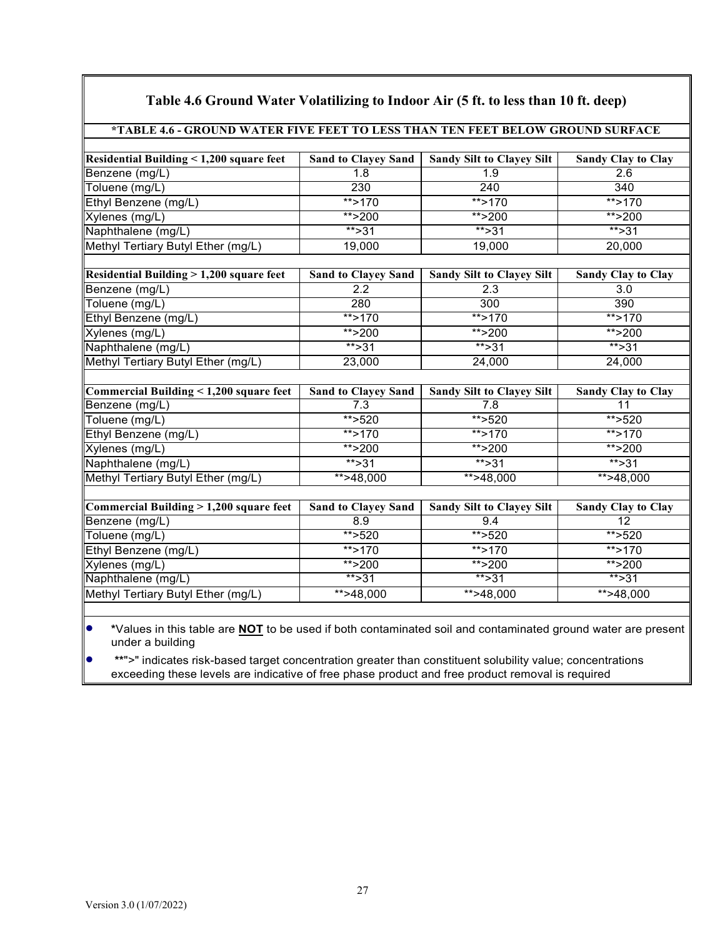| *TABLE 4.6 - GROUND WATER FIVE FEET TO LESS THAN TEN FEET BELOW GROUND SURFACE |                            |                                  |                           |  |
|--------------------------------------------------------------------------------|----------------------------|----------------------------------|---------------------------|--|
|                                                                                |                            |                                  |                           |  |
| Residential Building < 1,200 square feet                                       | <b>Sand to Clayey Sand</b> | <b>Sandy Silt to Clayey Silt</b> | <b>Sandy Clay to Clay</b> |  |
| Benzene (mg/L)                                                                 | 1.8                        | 1.9                              | 2.6                       |  |
| Toluene (mg/L)                                                                 | 230                        | $\overline{240}$                 | 340                       |  |
| Ethyl Benzene (mg/L)                                                           | ** $>170$                  | ** $>170$                        | $*$ >170                  |  |
| Xylenes (mg/L)                                                                 | ** $>200$                  | ** $>200$                        | ** $>200$                 |  |
| Naphthalene (mg/L)                                                             | $*$ > 31                   | ** $>31$                         | $** > 31$                 |  |
| Methyl Tertiary Butyl Ether (mg/L)                                             | 19,000                     | 19,000                           | 20,000                    |  |
|                                                                                |                            |                                  |                           |  |
| Residential Building > 1,200 square feet                                       | <b>Sand to Clayey Sand</b> | <b>Sandy Silt to Clayey Silt</b> | <b>Sandy Clay to Clay</b> |  |
| Benzene (mg/L)                                                                 | 2.2                        | 2.3                              | 3.0                       |  |
| Toluene (mg/L)                                                                 | 280                        | 300                              | 390                       |  |
| Ethyl Benzene (mg/L)                                                           | $**$ >170                  | $**$ >170                        | $**$ >170                 |  |
| Xylenes (mg/L)                                                                 | ** $>200$                  | ** $>200$                        | $***$ >200                |  |
| Naphthalene (mg/L)                                                             | $***$ >31                  | $***$ >31                        | $** > 31$                 |  |
| Methyl Tertiary Butyl Ether (mg/L)                                             | 23,000                     | 24,000                           | 24,000                    |  |
|                                                                                |                            |                                  |                           |  |
| Commercial Building < 1,200 square feet                                        | <b>Sand to Clayey Sand</b> | <b>Sandy Silt to Clayey Silt</b> | <b>Sandy Clay to Clay</b> |  |
| Benzene (mg/L)                                                                 | 7.3                        | 7.8                              | 11                        |  |
| Toluene (mg/L)                                                                 | ** $>520$                  | $**$ >520                        | $**$ >520                 |  |
| Ethyl Benzene (mg/L)                                                           | $*$ > 170                  | $**$ >170                        | $**$ >170                 |  |
| Xylenes (mg/L)                                                                 | ** $>200$                  | ** $>200$                        | **>200                    |  |
| Naphthalene (mg/L)                                                             | $***31$                    | $\overline{**}$ > 31             | $***31$                   |  |
| Methyl Tertiary Butyl Ether (mg/L)                                             | $** > 48,000$              | $*$ >48,000                      | $*+248,000$               |  |
|                                                                                |                            |                                  |                           |  |
| Commercial Building $>1,200$ square feet                                       | Sand to Clayey Sand        | <b>Sandy Silt to Clayey Silt</b> | <b>Sandy Clay to Clay</b> |  |
| Benzene (mg/L)                                                                 | 8.9                        | 9.4                              | 12                        |  |
| Toluene (mg/L)                                                                 | $*$ > 520                  | ** $>520$                        | ** $>520$                 |  |
| Ethyl Benzene (mg/L)                                                           | $**$ >170                  | ** $>170$                        | ** $>170$                 |  |
| Xylenes (mg/L)                                                                 | ** $>200$                  | ** $>200$                        | **>200                    |  |
| Naphthalene (mg/L)                                                             | $***31$                    | $** > 31$                        | $***31$                   |  |
| Methyl Tertiary Butyl Ether (mg/L)                                             | $\overline{**}$ >48,000    | $** > 48,000$                    | $* \times 48,000$         |  |

## **Table 4.6 Ground Water Volatilizing to Indoor Air (5 ft. to less than 10 ft. deep)**

• **\***Values in this table are **NOT** to be used if both contaminated soil and contaminated ground water are present under a building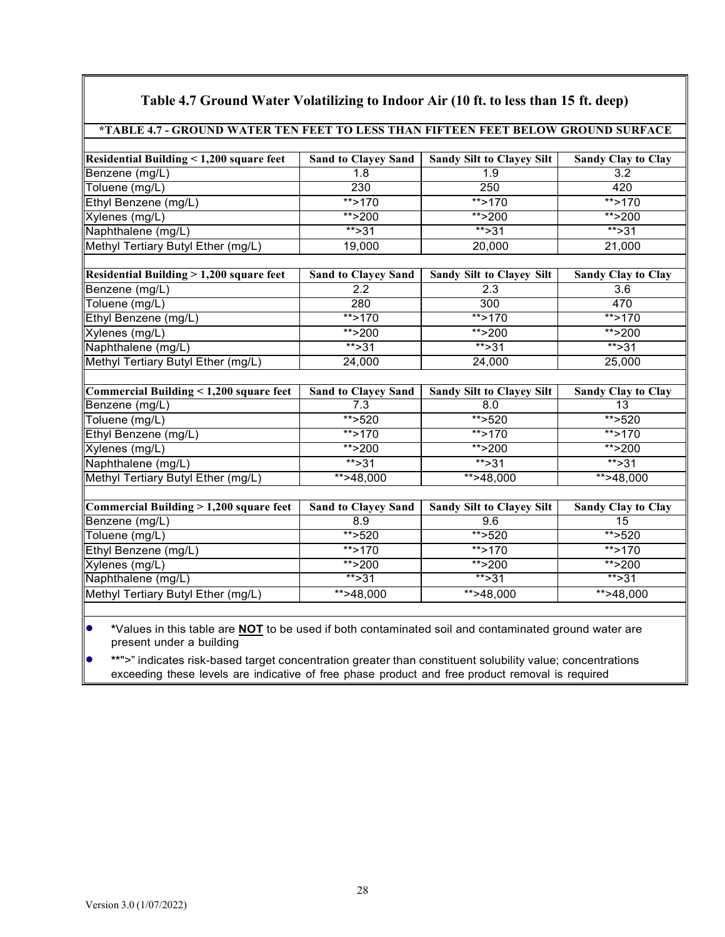| *TABLE 4.7 - GROUND WATER TEN FEET TO LESS THAN FIFTEEN FEET BELOW GROUND SURFACE |                            |                                  |                           |
|-----------------------------------------------------------------------------------|----------------------------|----------------------------------|---------------------------|
|                                                                                   |                            |                                  |                           |
| Residential Building < 1,200 square feet                                          | <b>Sand to Clayey Sand</b> | <b>Sandy Silt to Clayey Silt</b> | <b>Sandy Clay to Clay</b> |
| Benzene (mg/L)                                                                    | 1.8                        | 1.9                              | 3.2                       |
| Toluene (mg/L)                                                                    | 230                        | 250                              | 420                       |
| Ethyl Benzene (mg/L)                                                              | **>170                     | **>170                           | $**$ >170                 |
| Xylenes (mg/L)                                                                    | **>200                     | **>200                           | ** $>200$                 |
| Naphthalene (mg/L)                                                                | $** > 31$                  | $*$ > 31                         | $***31$                   |
| Methyl Tertiary Butyl Ether (mg/L)                                                | 19,000                     | 20,000                           | 21,000                    |
|                                                                                   |                            |                                  |                           |
| <b>Residential Building &gt; 1,200 square feet</b>                                | <b>Sand to Clayey Sand</b> | Sandy Silt to Clayey Silt        | <b>Sandy Clay to Clay</b> |
| Benzene (mg/L)                                                                    | 2.2                        | 2.3                              | 3.6                       |
| Toluene (mg/L)                                                                    | 280                        | 300                              | 470                       |
| Ethyl Benzene (mg/L)                                                              | $**$ >170                  | $**$ >170                        | $*$ > 170                 |
| Xylenes (mg/L)                                                                    | **>200                     | ** $>200$                        | $*$ >200                  |
| Naphthalene (mg/L)                                                                | $***$ >31                  | $*$ > 31                         | $***31$                   |
| Methyl Tertiary Butyl Ether (mg/L)                                                | 24,000                     | 24,000                           | 25,000                    |
|                                                                                   |                            |                                  |                           |
| Commercial Building < 1,200 square feet                                           | <b>Sand to Clayey Sand</b> | <b>Sandy Silt to Clayey Silt</b> | <b>Sandy Clay to Clay</b> |
| Benzene (mg/L)                                                                    | 7.3                        | 8.0                              | 13                        |
| $\overline{\text{T}}$ oluene (mg/L)                                               | $**$ >520                  | **>520                           | $**$ >520                 |
| Ethyl Benzene (mg/L)                                                              | $**$ >170                  | $**$ >170                        | $**$ >170                 |
| Xylenes (mg/L)                                                                    | $*$ > 200                  | $*$ > 200                        | **>200                    |
| Naphthalene (mg/L)                                                                | $***31$                    | $***31$                          | $***31$                   |
| Methyl Tertiary Butyl Ether (mg/L)                                                | **>48,000                  | $*+548,000$                      | $* > 48,000$              |
|                                                                                   |                            |                                  |                           |
| Commercial Building > 1,200 square feet                                           | <b>Sand to Clayey Sand</b> | <b>Sandy Silt to Clayey Silt</b> | <b>Sandy Clay to Clay</b> |
| Benzene (mg/L)                                                                    | 8.9                        | 9.6                              | $\overline{15}$           |
| Toluene (mg/L)                                                                    | **>520                     | ** $>520$                        | $**$ >520                 |
| Ethyl Benzene (mg/L)                                                              | $**$ >170                  | $**$ >170                        | $**$ >170                 |
| Xylenes (mg/L)                                                                    | ** $>200$                  | ** $>200$                        | $** > 200$                |
| Naphthalene (mg/L)                                                                | $***31$                    | $***31$                          | $***31$                   |
| Methyl Tertiary Butyl Ether (mg/L)                                                | $\overline{**}$ >48,000    | $*+248,000$                      | $\overline{**}$ >48,000   |
|                                                                                   |                            |                                  |                           |
|                                                                                   |                            |                                  |                           |

### **Table 4.7 Ground Water Volatilizing to Indoor Air (10 ft. to less than 15 ft. deep)**

• **\***Values in this table are **NOT** to be used if both contaminated soil and contaminated ground water are present under a building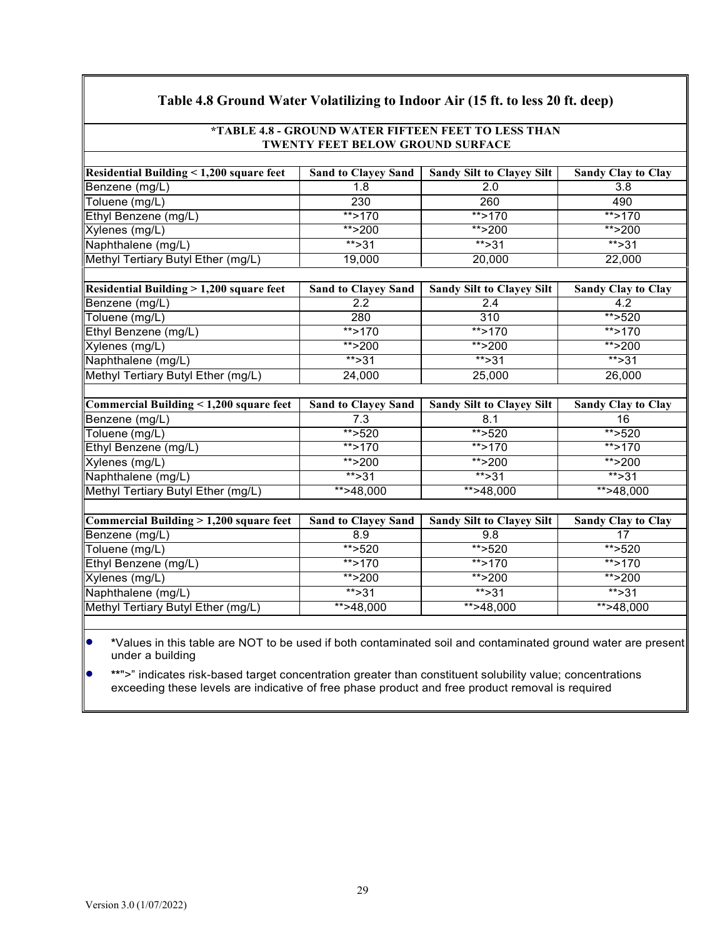| Table 4.8 Ground Water Volatilizing to Indoor Air (15 ft. to less 20 ft. deep) |                                  |                                  |                           |  |
|--------------------------------------------------------------------------------|----------------------------------|----------------------------------|---------------------------|--|
| *TABLE 4.8 - GROUND WATER FIFTEEN FEET TO LESS THAN                            |                                  |                                  |                           |  |
|                                                                                | TWENTY FEET BELOW GROUND SURFACE |                                  |                           |  |
|                                                                                |                                  |                                  |                           |  |
| <b>Residential Building &lt; 1,200 square feet</b>                             | <b>Sand to Clayey Sand</b>       | <b>Sandy Silt to Clayey Silt</b> | <b>Sandy Clay to Clay</b> |  |
| Benzene (mg/L)                                                                 | 1.8                              | 2.0                              | 3.8                       |  |
| Toluene (mg/L)                                                                 | 230                              | 260                              | 490                       |  |
| Ethyl Benzene (mg/L)                                                           | $**$ >170                        | $**$ >170                        | $**$ >170                 |  |
| Xylenes (mg/L)                                                                 | ** $>200$                        | ** $>200$                        | ** $>200$                 |  |
| Naphthalene (mg/L)                                                             | $***31$                          | $***31$                          | $***$ >31                 |  |
| Methyl Tertiary Butyl Ether (mg/L)                                             | 19,000                           | 20,000                           | 22,000                    |  |
|                                                                                |                                  |                                  |                           |  |
| <b>Residential Building &gt; 1,200 square feet</b>                             | <b>Sand to Clayey Sand</b>       | <b>Sandy Silt to Clayey Silt</b> | <b>Sandy Clay to Clay</b> |  |
| Benzene (mg/L)                                                                 | 2.2                              | 2.4                              | 4.2                       |  |
| Toluene (mg/L)                                                                 | 280                              | $\overline{310}$                 | ** $>520$                 |  |
| Ethyl Benzene (mg/L)                                                           | $**$ >170                        | $**$ >170                        | **>170                    |  |
| Xylenes (mg/L)                                                                 | ** $>200$                        | **>200                           | ** $>200$                 |  |
| Naphthalene (mg/L)                                                             | $***$ >31                        | $***$ >31                        | $***$ >31                 |  |
| Methyl Tertiary Butyl Ether (mg/L)                                             | 24,000                           | 25,000                           | 26,000                    |  |
|                                                                                |                                  |                                  |                           |  |
| Commercial Building < 1,200 square feet                                        | <b>Sand to Clayey Sand</b>       | <b>Sandy Silt to Clayey Silt</b> | <b>Sandy Clay to Clay</b> |  |
| Benzene (mg/L)                                                                 | 7.3                              | 8.1                              | 16                        |  |
| Toluene (mg/L)                                                                 | $*$ >520                         | ** $>520$                        | ** $>520$                 |  |
| Ethyl Benzene (mg/L)                                                           | $**$ >170                        | $**$ >170                        | $**$ >170                 |  |
| Xylenes (mg/L)                                                                 | **>200                           | **>200                           | **>200                    |  |
| Naphthalene (mg/L)                                                             | $***31$                          | $***31$                          | $***$ >31                 |  |
| Methyl Tertiary Butyl Ether (mg/L)                                             | $** > 48,000$                    | $*+248,000$                      | $*+548,000$               |  |
|                                                                                |                                  |                                  |                           |  |
| Commercial Building > 1,200 square feet                                        | <b>Sand to Clayey Sand</b>       | <b>Sandy Silt to Clayey Silt</b> | <b>Sandy Clay to Clay</b> |  |
| Benzene (mg/L)                                                                 | 8.9                              | 9.8                              | 17                        |  |
| Toluene (mg/L)                                                                 | ** $>520$                        | ** $>520$                        | $*$ > 520                 |  |
| Ethyl Benzene (mg/L)                                                           | ** $>170$                        | ** $>170$                        | $**$ >170                 |  |
| Xylenes (mg/L)                                                                 | ** $>200$                        | ** $>200$                        | ** $>200$                 |  |
| Naphthalene (mg/L)                                                             | ** $>31$                         | $***31$                          | $***$ >31                 |  |
| Methyl Tertiary Butyl Ether (mg/L)                                             | **>48,000                        | $*+248,000$                      | **>48,000                 |  |
|                                                                                |                                  |                                  |                           |  |

• **\***Values in this table are NOT to be used if both contaminated soil and contaminated ground water are present under a building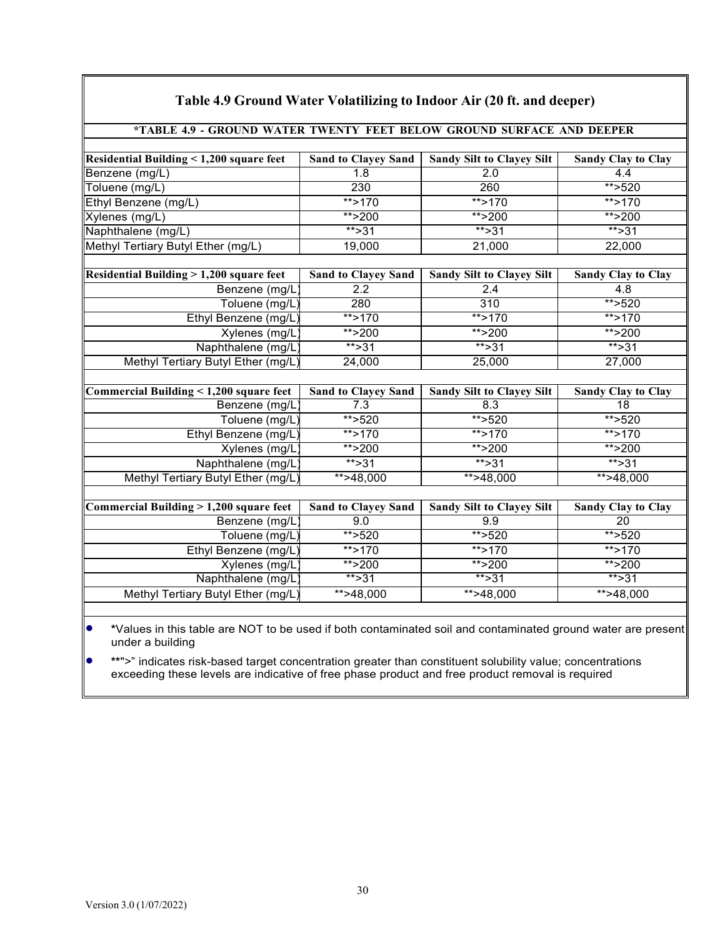| Table 4.9 Ground Water Volatilizing to Indoor Air (20 ft. and deeper) |                            |                                  |                           |  |
|-----------------------------------------------------------------------|----------------------------|----------------------------------|---------------------------|--|
| *TABLE 4.9 - GROUND WATER TWENTY FEET BELOW GROUND SURFACE AND DEEPER |                            |                                  |                           |  |
|                                                                       |                            |                                  |                           |  |
| Residential Building < 1,200 square feet                              | <b>Sand to Clayey Sand</b> | <b>Sandy Silt to Clayey Silt</b> | <b>Sandy Clay to Clay</b> |  |
| Benzene (mg/L)                                                        | 1.8                        | 2.0                              | 4.4                       |  |
| Toluene (mg/L)                                                        | 230                        | 260                              | $*$ >520                  |  |
| Ethyl Benzene (mg/L)                                                  | $** > 170$                 | $**$ >170                        | $** > 170$                |  |
| Xylenes (mg/L)                                                        | $*$ > 200                  | ** $>200$                        | ** $>200$                 |  |
| Naphthalene (mg/L)                                                    | $***$ >31                  | $***$ >31                        | $*$ > 31                  |  |
| Methyl Tertiary Butyl Ether (mg/L)                                    | 19,000                     | 21,000                           | 22,000                    |  |
|                                                                       |                            |                                  |                           |  |
| Residential Building > 1,200 square feet                              | <b>Sand to Clayey Sand</b> | <b>Sandy Silt to Clayey Silt</b> | <b>Sandy Clay to Clay</b> |  |
| Benzene (mg/L)                                                        | $\overline{2.2}$           | 2.4                              | 4.8                       |  |
| Toluene (mg/L)                                                        | 280                        | 310                              | $*$ >520                  |  |
| Ethyl Benzene (mg/L)                                                  | $**$ >170                  | $**$ >170                        | $**$ >170                 |  |
| Xylenes (mg/L)                                                        | **>200                     | **>200                           | **>200                    |  |
| Naphthalene (mg/L)                                                    | $** > 31$                  | $*$ > 31                         | $*$ > 31                  |  |
| Methyl Tertiary Butyl Ether (mg/L)                                    | 24,000                     | 25,000                           | 27,000                    |  |
|                                                                       |                            |                                  |                           |  |
| Commercial Building $\leq 1,200$ square feet                          | <b>Sand to Clayey Sand</b> | Sandy Silt to Clayey Silt        | <b>Sandy Clay to Clay</b> |  |
| Benzene (mg/L)                                                        | 7.3                        | 8.3                              | 18                        |  |
| Toluene (mg/L)                                                        | **>520                     | $**$ >520                        | $**$ >520                 |  |
| Ethyl Benzene (mg/L)                                                  | $**$ >170                  | $**$ >170                        | $*$ >170                  |  |
| Xylenes (mg/L)                                                        | $*$ > 200                  | $*$ > 200                        | $*$ > 200                 |  |
| Naphthalene (mg/L)                                                    | $***31$                    | $***31$                          | $***31$                   |  |
| Methyl Tertiary Butyl Ether (mg/L)                                    | $*+248,000$                | $*+548,000$                      | $* \times 48,000$         |  |
|                                                                       |                            |                                  |                           |  |
| Commercial Building $> 1,200$ square feet                             | <b>Sand to Clayey Sand</b> | <b>Sandy Silt to Clayey Silt</b> | <b>Sandy Clay to Clay</b> |  |
| Benzene (mg/L)                                                        | 9.0                        | 9.9                              | $\overline{20}$           |  |
| Toluene (mg/L)                                                        | ** $>520$                  | ** $>520$                        | **>520                    |  |
| Ethyl Benzene (mg/L)                                                  | $*$ > 170                  | ** $>170$                        | $*$ > 170                 |  |
| Xylenes (mg/L)                                                        | **>200                     | $*$ > 200                        | $*$ > 200                 |  |
| Naphthalene (mg/L)                                                    | $** > 31$                  | $*$ > 31                         | $*$ > 31                  |  |
| Methyl Tertiary Butyl Ether (mg/L)                                    | $** > 48,000$              | $** > 48,000$                    | $** > 48,000$             |  |
|                                                                       |                            |                                  |                           |  |

# **Table 4.9 Ground Water Volatilizing to Indoor Air (20 ft. and deeper)**

• **\***Values in this table are NOT to be used if both contaminated soil and contaminated ground water are present under a building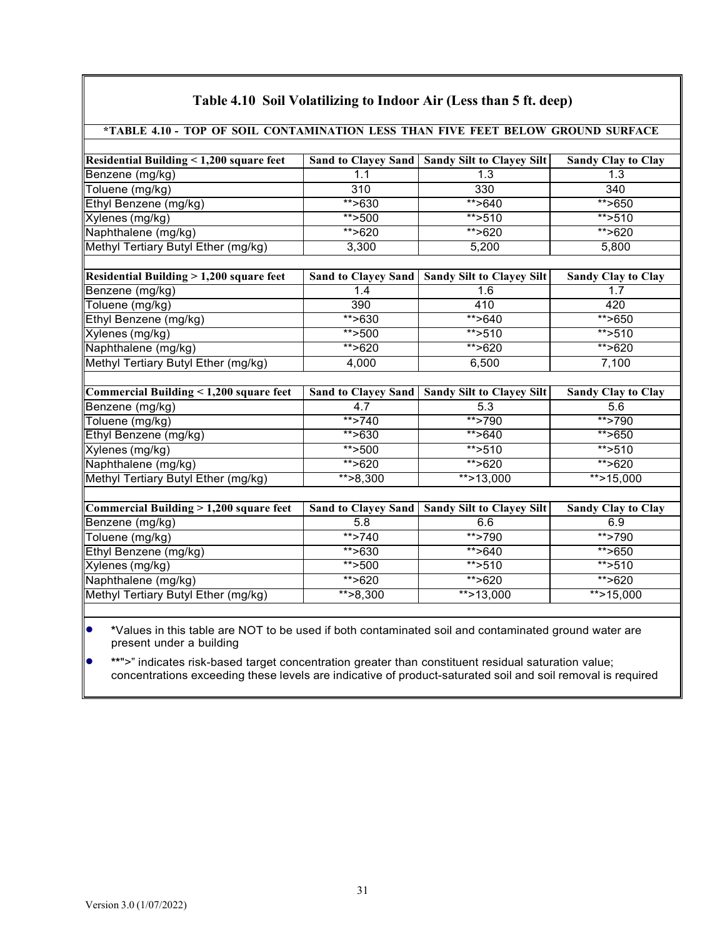| Residential Building < 1,200 square feet |                     | Sand to Clayey Sand   Sandy Silt to Clayey Silt | <b>Sandy Clay to Clay</b> |
|------------------------------------------|---------------------|-------------------------------------------------|---------------------------|
| Benzene (mg/kg)                          | 1.1                 | $\overline{1.3}$                                | 1.3                       |
| Toluene (mg/kg)                          | 310                 | 330                                             | 340                       |
| Ethyl Benzene (mg/kg)                    | $*$ >630            | $*$ >640                                        | $*$ >650                  |
| Xylenes (mg/kg)                          | ** $>500$           | ** $>510$                                       | $**$ >510                 |
| Naphthalene (mg/kg)                      | **>620              | **>620                                          | **>620                    |
| Methyl Tertiary Butyl Ether (mg/kg)      | 3,300               | 5,200                                           | 5,800                     |
| Residential Building > 1,200 square feet | Sand to Clayey Sand | <b>Sandy Silt to Clayey Silt</b>                | <b>Sandy Clay to Clay</b> |
| Benzene (mg/kg)                          | 1.4                 | 1.6                                             | 1.7                       |
| Toluene (mg/kg)                          | 390                 | 410                                             | 420                       |
| Ethyl Benzene (mg/kg)                    | $* \times 630$      | $* \rightarrow 640$                             | $*$ >650                  |
| Xylenes (mg/kg)                          | ** $>500$           | ** $>510$                                       | ** $>510$                 |
| Naphthalene (mg/kg)                      | **>620              | **>620                                          | ** $>620$                 |
| Methyl Tertiary Butyl Ether (mg/kg)      | 4,000               | 6,500                                           | 7,100                     |
| Commercial Building < 1,200 square feet  |                     | Sand to Clayey Sand   Sandy Silt to Clayey Silt | <b>Sandy Clay to Clay</b> |
| Benzene (mg/kg)                          | 4.7                 | 5.3                                             | 5.6                       |
| Toluene (mg/kg)                          | $*$ >740            | **>790                                          | **>790                    |
| Ethyl Benzene (mg/kg)                    | $*$ >630            | **>640                                          | $*$ >650                  |
| Xylenes (mg/kg)                          | ** $>500$           | **>510                                          | $*$ >510                  |
| Naphthalene (mg/kg)                      | ** $>620$           | $*$ >620                                        | ** $>620$                 |
| Methyl Tertiary Butyl Ether (mg/kg)      | $* > 8,300$         | $*$ > 13,000                                    | $*$ > 15,000              |
|                                          |                     |                                                 |                           |
| Commercial Building > 1,200 square feet  |                     | Sand to Clayey Sand   Sandy Silt to Clayey Silt | <b>Sandy Clay to Clay</b> |
| Benzene (mg/kg)                          | 5.8                 | 6.6                                             | 6.9                       |
| Toluene (mg/kg)                          | $**$ >740           | **>790                                          | **>790                    |
| Ethyl Benzene (mg/kg)                    | $*$ >630            | $*$ $>640$                                      | $*$ $>650$                |
| Xylenes (mg/kg)                          | ** $>500$           | ** $>510$                                       | $*$ >510                  |
|                                          |                     |                                                 |                           |
| Naphthalene (mg/kg)                      | **>620              | **>620                                          | ** $>620$                 |

### **Table 4.10 Soil Volatilizing to Indoor Air (Less than 5 ft. deep)**

• **\***Values in this table are NOT to be used if both contaminated soil and contaminated ground water are present under a building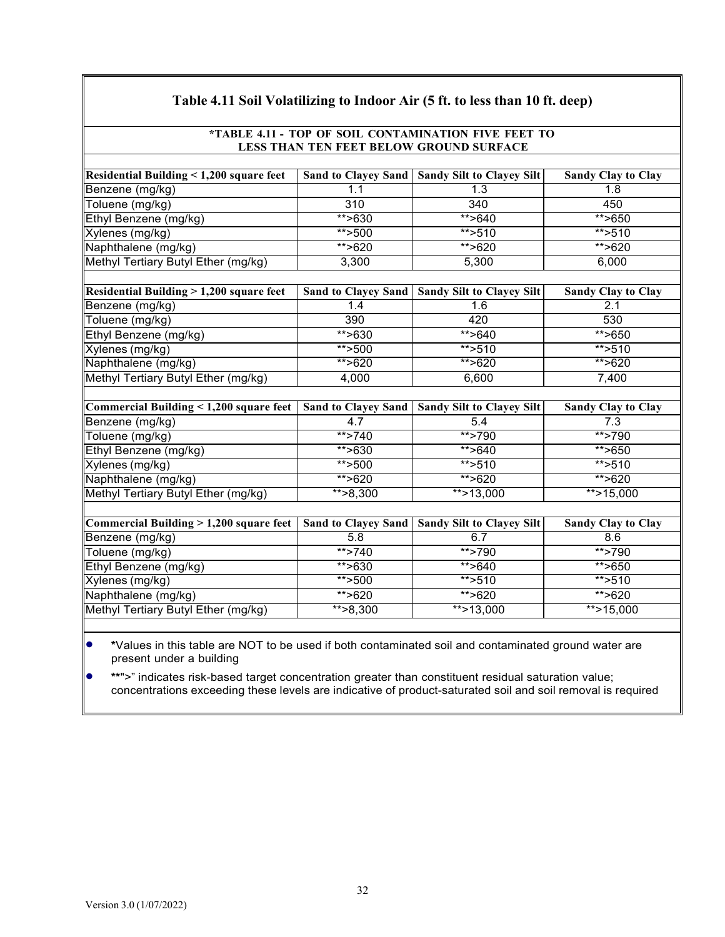| Table 4.11 Soil Volatilizing to Indoor Air (5 ft. to less than 10 ft. deep) |                                         |                                  |                           |  |  |
|-----------------------------------------------------------------------------|-----------------------------------------|----------------------------------|---------------------------|--|--|
| *TABLE 4.11 - TOP OF SOIL CONTAMINATION FIVE FEET TO                        |                                         |                                  |                           |  |  |
|                                                                             | LESS THAN TEN FEET BELOW GROUND SURFACE |                                  |                           |  |  |
| <b>Residential Building &lt; 1,200 square feet</b>                          | <b>Sand to Clayey Sand</b>              | <b>Sandy Silt to Clayey Silt</b> | <b>Sandy Clay to Clay</b> |  |  |
| Benzene (mg/kg)                                                             | 1.1                                     | 1.3                              | 1.8                       |  |  |
| Toluene (mg/kg)                                                             | 310                                     | 340                              | 450                       |  |  |
| Ethyl Benzene (mg/kg)                                                       | $*$ >630                                | ** $>640$                        | ** $>650$                 |  |  |
| Xylenes (mg/kg)                                                             | $*$ >500                                | $*$ >510                         | $*$ >510                  |  |  |
| Naphthalene (mg/kg)                                                         | **>620                                  | **>620                           | **>620                    |  |  |
| Methyl Tertiary Butyl Ether (mg/kg)                                         | 3,300                                   | 5,300                            | 6,000                     |  |  |
|                                                                             |                                         |                                  |                           |  |  |
| <b>Residential Building &gt; 1,200 square feet</b>                          | <b>Sand to Clayey Sand</b>              | <b>Sandy Silt to Clayey Silt</b> | <b>Sandy Clay to Clay</b> |  |  |
| Benzene (mg/kg)                                                             | 1.4                                     | 1.6                              | 2.1                       |  |  |
| Toluene (mg/kg)                                                             | 390                                     | 420                              | 530                       |  |  |
| Ethyl Benzene (mg/kg)                                                       | **>630                                  | **>640                           | **>650                    |  |  |
| Xylenes (mg/kg)                                                             | $*$ > 500                               | ** $>510$                        | $*$ >510                  |  |  |
| Naphthalene (mg/kg)                                                         | **>620                                  | $*$ >620                         | $*$ >620                  |  |  |
| Methyl Tertiary Butyl Ether (mg/kg)                                         | 4,000                                   | 6,600                            | 7,400                     |  |  |
|                                                                             |                                         |                                  |                           |  |  |
| Commercial Building < 1,200 square feet                                     | <b>Sand to Clayey Sand</b>              | <b>Sandy Silt to Clayey Silt</b> | <b>Sandy Clay to Clay</b> |  |  |
| Benzene (mg/kg)                                                             | 4.7                                     | 5.4                              | 7.3                       |  |  |
| Toluene (mg/kg)                                                             | $*$ >740                                | **>790                           | $**$ >790                 |  |  |
| Ethyl Benzene (mg/kg)                                                       | $* \rightarrow 630$                     | $*$ >640                         | $*$ >650                  |  |  |
| Xylenes (mg/kg)                                                             | $*$ > 500                               | $***$ >510                       | ** $>510$                 |  |  |
| Naphthalene (mg/kg)                                                         | **>620                                  | ** $>620$                        | **>620                    |  |  |
| Methyl Tertiary Butyl Ether (mg/kg)                                         | $** > 8,300$                            | **>13,000                        | $*$ >15,000               |  |  |
|                                                                             |                                         |                                  |                           |  |  |
| Commercial Building > 1,200 square feet                                     | <b>Sand to Clayey Sand</b>              | <b>Sandy Silt to Clayey Silt</b> | <b>Sandy Clay to Clay</b> |  |  |
| Benzene (mg/kg)                                                             | 5.8                                     | 6.7                              | 8.6                       |  |  |
| Toluene (mg/kg)                                                             | $*$ >740                                | $*$ >790                         | $*$ >790                  |  |  |
| Ethyl Benzene (mg/kg)                                                       | $*$ >630                                | ** $>640$                        | $*$ >650                  |  |  |
| Xylenes (mg/kg)                                                             | $**$ >500                               | $*$ > 510                        | $*$ >510                  |  |  |
| Naphthalene (mg/kg)                                                         | ** $>620$                               | **>620                           | $*$ >620                  |  |  |
| Methyl Tertiary Butyl Ether (mg/kg)                                         | $*$ $>8,300$                            | **>13,000                        | **>15,000                 |  |  |
|                                                                             |                                         |                                  |                           |  |  |

• **\***Values in this table are NOT to be used if both contaminated soil and contaminated ground water are present under a building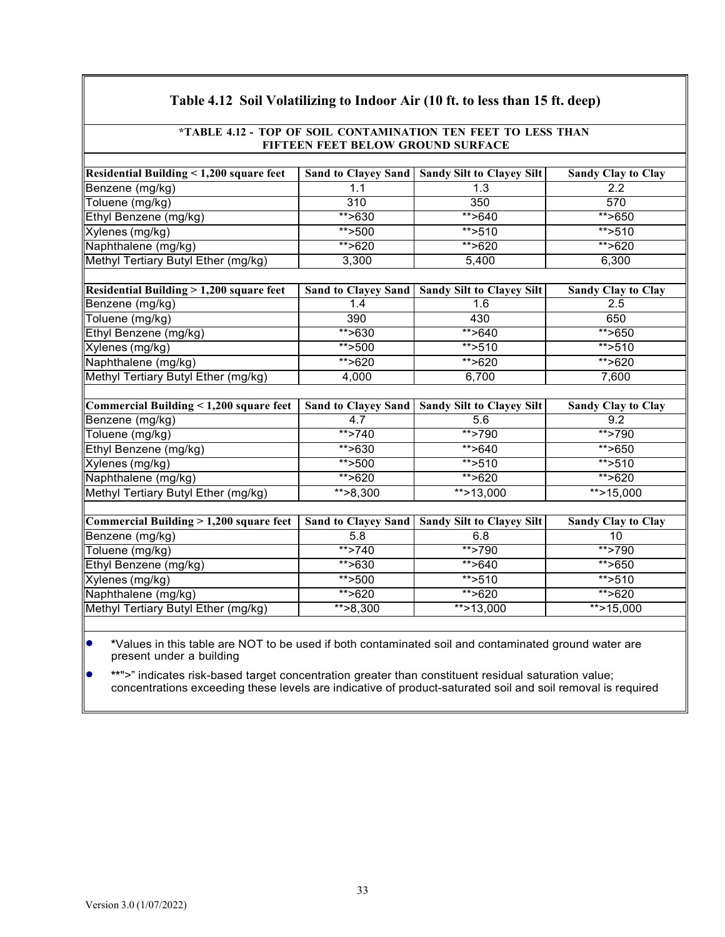| *TABLE 4.12 - TOP OF SOIL CONTAMINATION TEN FEET TO LESS THAN |                            |                                                 |                           |  |
|---------------------------------------------------------------|----------------------------|-------------------------------------------------|---------------------------|--|
| FIFTEEN FEET BELOW GROUND SURFACE                             |                            |                                                 |                           |  |
| Residential Building $\leq 1,200$ square feet                 |                            | Sand to Clayey Sand   Sandy Silt to Clayey Silt | <b>Sandy Clay to Clay</b> |  |
| Benzene (mg/kg)                                               | 1.1                        | 1.3                                             | 2.2                       |  |
| Toluene (mg/kg)                                               | 310                        | 350                                             | 570                       |  |
| Ethyl Benzene (mg/kg)                                         | $*$ >630                   | $*$ >640                                        | $*$ >650                  |  |
| Xylenes (mg/kg)                                               | $**$ >500                  | ** $>510$                                       | $**$ >510                 |  |
| Naphthalene (mg/kg)                                           | **>620                     | ** $>620$                                       | **>620                    |  |
| Methyl Tertiary Butyl Ether (mg/kg)                           | 3,300                      | 5,400                                           | 6,300                     |  |
|                                                               |                            |                                                 |                           |  |
| <b>Residential Building &gt; 1,200 square feet</b>            |                            | Sand to Clayey Sand   Sandy Silt to Clayey Silt | <b>Sandy Clay to Clay</b> |  |
| Benzene (mg/kg)                                               | 1.4                        | 1.6                                             | 2.5                       |  |
| Toluene (mg/kg)                                               | 390                        | 430                                             | 650                       |  |
| Ethyl Benzene (mg/kg)                                         | $*$ >630                   | **>640                                          | $*$ >650                  |  |
| Xylenes (mg/kg)                                               | ** $>500$                  | ** $>510$                                       | ** $>510$                 |  |
| Naphthalene (mg/kg)                                           | **>620                     | **>620                                          | **>620                    |  |
| Methyl Tertiary Butyl Ether (mg/kg)                           | 4,000                      | 6,700                                           | 7,600                     |  |
|                                                               |                            |                                                 |                           |  |
| Commercial Building $< 1,200$ square feet                     | <b>Sand to Clayey Sand</b> | <b>Sandy Silt to Clayey Silt</b>                | <b>Sandy Clay to Clay</b> |  |
| Benzene (mg/kg)                                               | 4.7                        | 5.6                                             | 9.2                       |  |
| Toluene (mg/kg)                                               | $**$ >740                  | $*$ >790                                        | $*$ >790                  |  |
| Ethyl Benzene (mg/kg)                                         | ** $>630$                  | ** $>640$                                       | $*$ >650                  |  |
| Xylenes (mg/kg)                                               | $**$ >500                  | ** $>510$                                       | $*$ >510                  |  |
| Naphthalene (mg/kg)                                           | $*$ >620                   | ** $>620$                                       | $*$ >620                  |  |
| Methyl Tertiary Butyl Ether (mg/kg)                           | $\overline{**}$ > 8,300    | $*$ > 13,000                                    | $*$ > 15,000              |  |
|                                                               |                            |                                                 |                           |  |
| Commercial Building $> 1,200$ square feet                     | <b>Sand to Clayey Sand</b> | <b>Sandy Silt to Clayey Silt</b>                | <b>Sandy Clay to Clay</b> |  |
| Benzene (mg/kg)                                               | 5.8                        | 6.8                                             | 10                        |  |
| Toluene (mg/kg)                                               | $*$ >740                   | $**$ >790                                       | $*$ >790                  |  |
| Ethyl Benzene (mg/kg)                                         | $*$ >630                   | $*$ >640                                        | $*$ >650                  |  |
| Xylenes (mg/kg)                                               | $**$ >500                  | $*$ > 510                                       | $\frac{1}{11}$ > 510      |  |
| Naphthalene (mg/kg)                                           | **>620                     | ** $>620$                                       | **>620                    |  |
| Methyl Tertiary Butyl Ether (mg/kg)                           | $* > 8,300$                | $*$ > 13,000                                    | $***$ > 15,000            |  |

**Table 4.12 Soil Volatilizing to Indoor Air (10 ft. to less than 15 ft. deep)**

• **\***Values in this table are NOT to be used if both contaminated soil and contaminated ground water are present under a building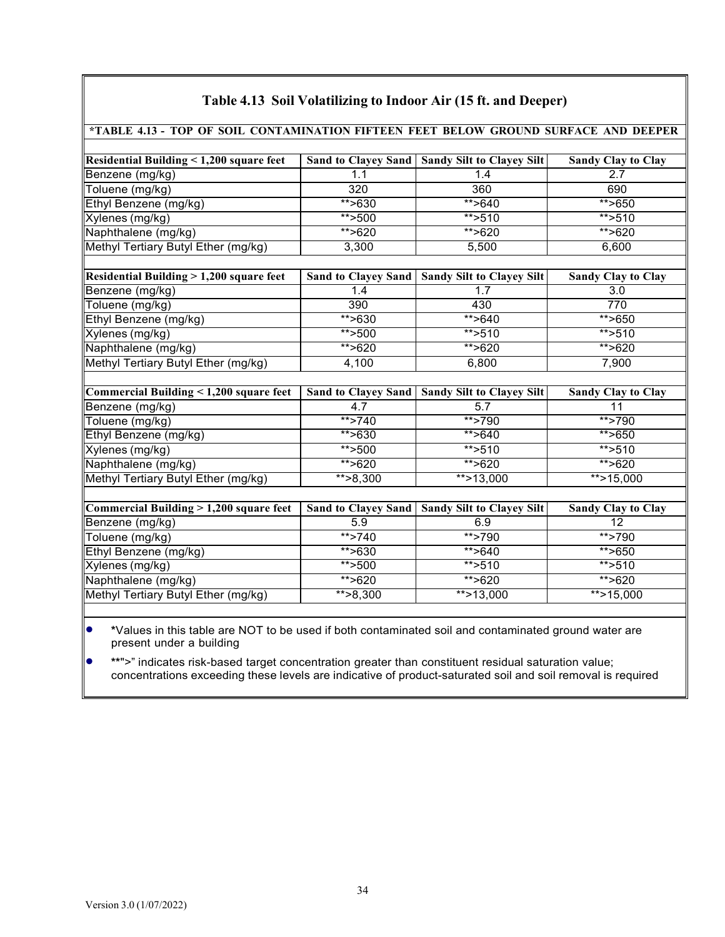| *TABLE 4.13 - TOP OF SOIL CONTAMINATION FIFTEEN FEET BELOW GROUND SURFACE AND DEEPER |                            |                                  |                           |  |  |  |  |
|--------------------------------------------------------------------------------------|----------------------------|----------------------------------|---------------------------|--|--|--|--|
|                                                                                      |                            |                                  |                           |  |  |  |  |
| Residential Building < 1,200 square feet                                             | <b>Sand to Clayey Sand</b> | <b>Sandy Silt to Clayey Silt</b> | <b>Sandy Clay to Clay</b> |  |  |  |  |
| Benzene (mg/kg)                                                                      | 1.1                        | 1.4                              | 2.7                       |  |  |  |  |
| Toluene (mg/kg)                                                                      | 320                        | 360                              | 690                       |  |  |  |  |
| Ethyl Benzene (mg/kg)                                                                | $*$ >630                   | $*$ >640                         | $*$ >650                  |  |  |  |  |
| Xylenes (mg/kg)                                                                      | ** $>500$                  | $***$ >510                       | $*$ >510                  |  |  |  |  |
| Naphthalene (mg/kg)                                                                  | **>620                     | **>620                           | **>620                    |  |  |  |  |
| Methyl Tertiary Butyl Ether (mg/kg)                                                  | 3,300                      | 5,500                            | 6,600                     |  |  |  |  |
| Residential Building > 1,200 square feet                                             | <b>Sand to Clayey Sand</b> | <b>Sandy Silt to Clayey Silt</b> | <b>Sandy Clay to Clay</b> |  |  |  |  |
| Benzene (mg/kg)                                                                      | 1.4                        | 1.7                              | 3.0                       |  |  |  |  |
| Toluene (mg/kg)                                                                      | 390                        | 430                              | 770                       |  |  |  |  |
| Ethyl Benzene (mg/kg)                                                                | ** $>630$                  | **>640                           | $*$ >650                  |  |  |  |  |
| Xylenes (mg/kg)                                                                      | ** $>500$                  | $*$ > 510                        | $*$ >510                  |  |  |  |  |
| Naphthalene (mg/kg)                                                                  | **>620                     | **>620                           | **>620                    |  |  |  |  |
| Methyl Tertiary Butyl Ether (mg/kg)                                                  | 4,100                      | 6,800                            | 7,900                     |  |  |  |  |
| Commercial Building < 1,200 square feet                                              | <b>Sand to Clayey Sand</b> | <b>Sandy Silt to Clayey Silt</b> | <b>Sandy Clay to Clay</b> |  |  |  |  |
| Benzene (mg/kg)                                                                      | 4.7                        | 5.7                              | 11                        |  |  |  |  |
| Toluene (mg/kg)                                                                      | $*$ >740                   | **>790                           | **>790                    |  |  |  |  |
| Ethyl Benzene (mg/kg)                                                                | $*$ >630                   | $*$ >640                         | $*$ >650                  |  |  |  |  |
| Xylenes (mg/kg)                                                                      | $*$ > 500                  | $*$ > 510                        | ** $>510$                 |  |  |  |  |
| Naphthalene (mg/kg)                                                                  | $*$ >620                   | $*$ >620                         | ** $>620$                 |  |  |  |  |
| Methyl Tertiary Butyl Ether (mg/kg)                                                  | $* > 8,300$                | $*$ > 13,000                     | $*$ > 15,000              |  |  |  |  |
|                                                                                      |                            |                                  |                           |  |  |  |  |
| Commercial Building > 1,200 square feet                                              | <b>Sand to Clayey Sand</b> | <b>Sandy Silt to Clayey Silt</b> | <b>Sandy Clay to Clay</b> |  |  |  |  |
| Benzene (mg/kg)                                                                      | 5.9                        | 6.9                              | 12                        |  |  |  |  |
| Toluene (mg/kg)                                                                      | ** $>740$                  | $*$ >790                         | $**$ >790                 |  |  |  |  |
| Ethyl Benzene (mg/kg)                                                                | $*$ >630                   | $*$ >640                         | $*$ >650                  |  |  |  |  |
| Xylenes (mg/kg)                                                                      | **>500                     | $*$ >510                         | ** $>510$                 |  |  |  |  |
| Naphthalene (mg/kg)                                                                  | **>620                     | **>620                           | **>620                    |  |  |  |  |
| Methyl Tertiary Butyl Ether (mg/kg)                                                  | $** > 8,300$               | $*$ > 13,000                     | $*$ > 15,000              |  |  |  |  |

## **Table 4.13 Soil Volatilizing to Indoor Air (15 ft. and Deeper)**

• **\***Values in this table are NOT to be used if both contaminated soil and contaminated ground water are present under a building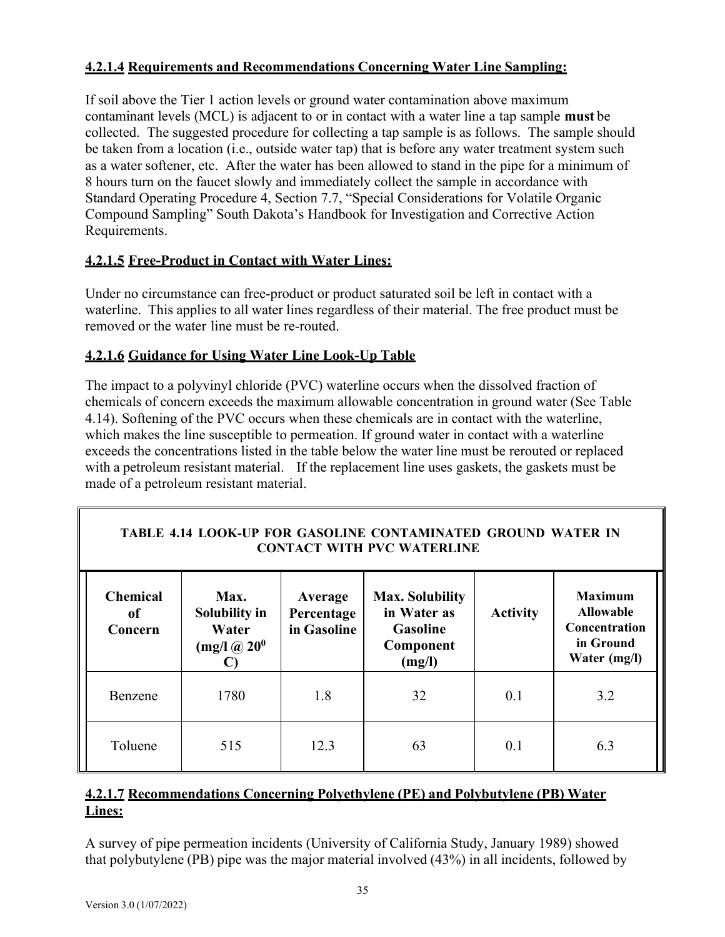## **4.2.1.4 Requirements and Recommendations Concerning Water Line Sampling:**

If soil above the Tier 1 action levels or ground water contamination above maximum contaminant levels (MCL) is adjacent to or in contact with a water line a tap sample **must** be collected. The suggested procedure for collecting a tap sample is as follows. The sample should be taken from a location (i.e., outside water tap) that is before any water treatment system such as a water softener, etc. After the water has been allowed to stand in the pipe for a minimum of 8 hours turn on the faucet slowly and immediately collect the sample in accordance with Standard Operating Procedure 4, Section 7.7, "Special Considerations for Volatile Organic Compound Sampling" South Dakota's Handbook for Investigation and Corrective Action Requirements.

## **4.2.1.5 Free-Product in Contact with Water Lines:**

Under no circumstance can free-product or product saturated soil be left in contact with a waterline. This applies to all water lines regardless of their material. The free product must be removed or the water line must be re-routed.

## **4.2.1.6 Guidance for Using Water Line Look-Up Table**

The impact to a polyvinyl chloride (PVC) waterline occurs when the dissolved fraction of chemicals of concern exceeds the maximum allowable concentration in ground water (See Table 4.14). Softening of the PVC occurs when these chemicals are in contact with the waterline, which makes the line susceptible to permeation. If ground water in contact with a waterline exceeds the concentrations listed in the table below the water line must be rerouted or replaced with a petroleum resistant material. If the replacement line uses gaskets, the gaskets must be made of a petroleum resistant material.

## **TABLE 4.14 LOOK-UP FOR GASOLINE CONTAMINATED GROUND WATER IN CONTACT WITH PVC WATERLINE**

| <b>Chemical</b><br><sub>of</sub><br>Concern | Max.<br>Solubility in<br>Water<br>$(mg/l)$ $@$ $200$ | Average<br>Percentage<br>in Gasoline | <b>Max. Solubility</b><br>in Water as<br>Gasoline<br>Component<br>(mg/l) | <b>Activity</b> | <b>Maximum</b><br><b>Allowable</b><br>Concentration<br>in Ground<br>Water (mg/l) |  |
|---------------------------------------------|------------------------------------------------------|--------------------------------------|--------------------------------------------------------------------------|-----------------|----------------------------------------------------------------------------------|--|
| Benzene                                     | 1780                                                 | 1.8                                  | 32                                                                       | 0.1             | 3.2                                                                              |  |
| Toluene                                     | 515                                                  | 12.3                                 | 63                                                                       | 0.1             | 6.3                                                                              |  |

# **4.2.1.7 Recommendations Concerning Polyethylene (PE) and Polybutylene (PB) Water Lines:**

A survey of pipe permeation incidents (University of California Study, January 1989) showed that polybutylene (PB) pipe was the major material involved (43%) in all incidents, followed by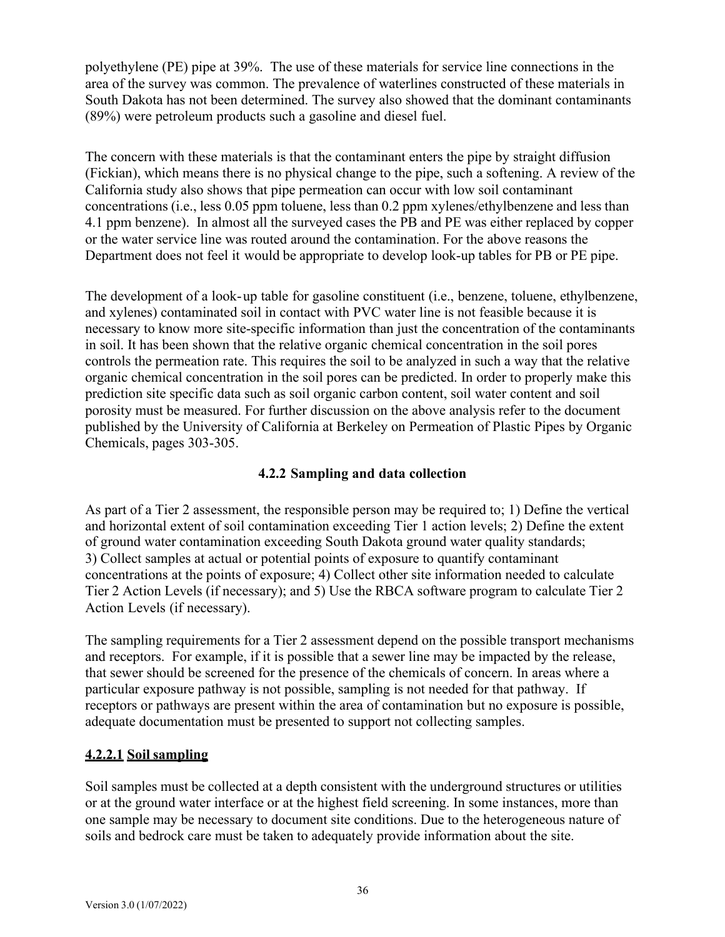polyethylene (PE) pipe at 39%. The use of these materials for service line connections in the area of the survey was common. The prevalence of waterlines constructed of these materials in South Dakota has not been determined. The survey also showed that the dominant contaminants (89%) were petroleum products such a gasoline and diesel fuel.

The concern with these materials is that the contaminant enters the pipe by straight diffusion (Fickian), which means there is no physical change to the pipe, such a softening. A review of the California study also shows that pipe permeation can occur with low soil contaminant concentrations (i.e., less 0.05 ppm toluene, less than 0.2 ppm xylenes/ethylbenzene and less than 4.1 ppm benzene). In almost all the surveyed cases the PB and PE was either replaced by copper or the water service line was routed around the contamination. For the above reasons the Department does not feel it would be appropriate to develop look-up tables for PB or PE pipe.

The development of a look-up table for gasoline constituent (i.e., benzene, toluene, ethylbenzene, and xylenes) contaminated soil in contact with PVC water line is not feasible because it is necessary to know more site-specific information than just the concentration of the contaminants in soil. It has been shown that the relative organic chemical concentration in the soil pores controls the permeation rate. This requires the soil to be analyzed in such a way that the relative organic chemical concentration in the soil pores can be predicted. In order to properly make this prediction site specific data such as soil organic carbon content, soil water content and soil porosity must be measured. For further discussion on the above analysis refer to the document published by the University of California at Berkeley on Permeation of Plastic Pipes by Organic Chemicals, pages 303-305.

## **4.2.2 Sampling and data collection**

As part of a Tier 2 assessment, the responsible person may be required to; 1) Define the vertical and horizontal extent of soil contamination exceeding Tier 1 action levels; 2) Define the extent of ground water contamination exceeding South Dakota ground water quality standards; 3) Collect samples at actual or potential points of exposure to quantify contaminant concentrations at the points of exposure; 4) Collect other site information needed to calculate Tier 2 Action Levels (if necessary); and 5) Use the RBCA software program to calculate Tier 2 Action Levels (if necessary).

The sampling requirements for a Tier 2 assessment depend on the possible transport mechanisms and receptors. For example, if it is possible that a sewer line may be impacted by the release, that sewer should be screened for the presence of the chemicals of concern. In areas where a particular exposure pathway is not possible, sampling is not needed for that pathway. If receptors or pathways are present within the area of contamination but no exposure is possible, adequate documentation must be presented to support not collecting samples.

## **4.2.2.1 Soil sampling**

Soil samples must be collected at a depth consistent with the underground structures or utilities or at the ground water interface or at the highest field screening. In some instances, more than one sample may be necessary to document site conditions. Due to the heterogeneous nature of soils and bedrock care must be taken to adequately provide information about the site.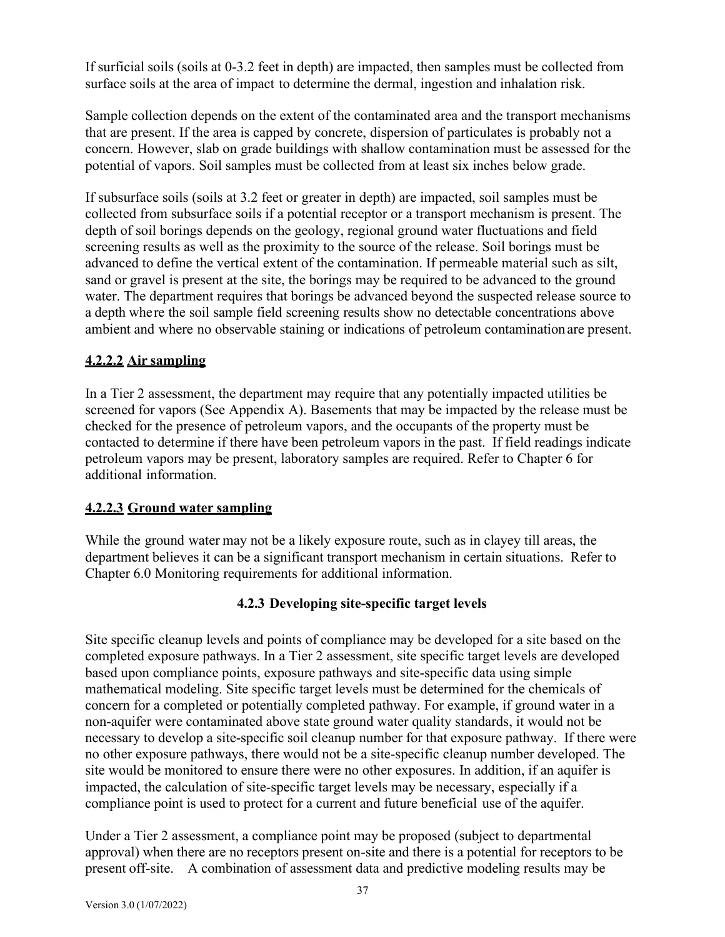If surficial soils (soils at 0-3.2 feet in depth) are impacted, then samples must be collected from surface soils at the area of impact to determine the dermal, ingestion and inhalation risk.

Sample collection depends on the extent of the contaminated area and the transport mechanisms that are present. If the area is capped by concrete, dispersion of particulates is probably not a concern. However, slab on grade buildings with shallow contamination must be assessed for the potential of vapors. Soil samples must be collected from at least six inches below grade.

If subsurface soils (soils at 3.2 feet or greater in depth) are impacted, soil samples must be collected from subsurface soils if a potential receptor or a transport mechanism is present. The depth of soil borings depends on the geology, regional ground water fluctuations and field screening results as well as the proximity to the source of the release. Soil borings must be advanced to define the vertical extent of the contamination. If permeable material such as silt, sand or gravel is present at the site, the borings may be required to be advanced to the ground water. The department requires that borings be advanced beyond the suspected release source to a depth where the soil sample field screening results show no detectable concentrations above ambient and where no observable staining or indications of petroleum contaminationare present.

## **4.2.2.2 Air sampling**

In a Tier 2 assessment, the department may require that any potentially impacted utilities be screened for vapors (See Appendix A). Basements that may be impacted by the release must be checked for the presence of petroleum vapors, and the occupants of the property must be contacted to determine if there have been petroleum vapors in the past. If field readings indicate petroleum vapors may be present, laboratory samples are required. Refer to Chapter 6 for additional information.

## **4.2.2.3 Ground water sampling**

While the ground water may not be a likely exposure route, such as in clayey till areas, the department believes it can be a significant transport mechanism in certain situations. Refer to Chapter 6.0 Monitoring requirements for additional information.

## **4.2.3 Developing site-specific target levels**

Site specific cleanup levels and points of compliance may be developed for a site based on the completed exposure pathways. In a Tier 2 assessment, site specific target levels are developed based upon compliance points, exposure pathways and site-specific data using simple mathematical modeling. Site specific target levels must be determined for the chemicals of concern for a completed or potentially completed pathway. For example, if ground water in a non-aquifer were contaminated above state ground water quality standards, it would not be necessary to develop a site-specific soil cleanup number for that exposure pathway. If there were no other exposure pathways, there would not be a site-specific cleanup number developed. The site would be monitored to ensure there were no other exposures. In addition, if an aquifer is impacted, the calculation of site-specific target levels may be necessary, especially if a compliance point is used to protect for a current and future beneficial use of the aquifer.

Under a Tier 2 assessment, a compliance point may be proposed (subject to departmental approval) when there are no receptors present on-site and there is a potential for receptors to be present off-site. A combination of assessment data and predictive modeling results may be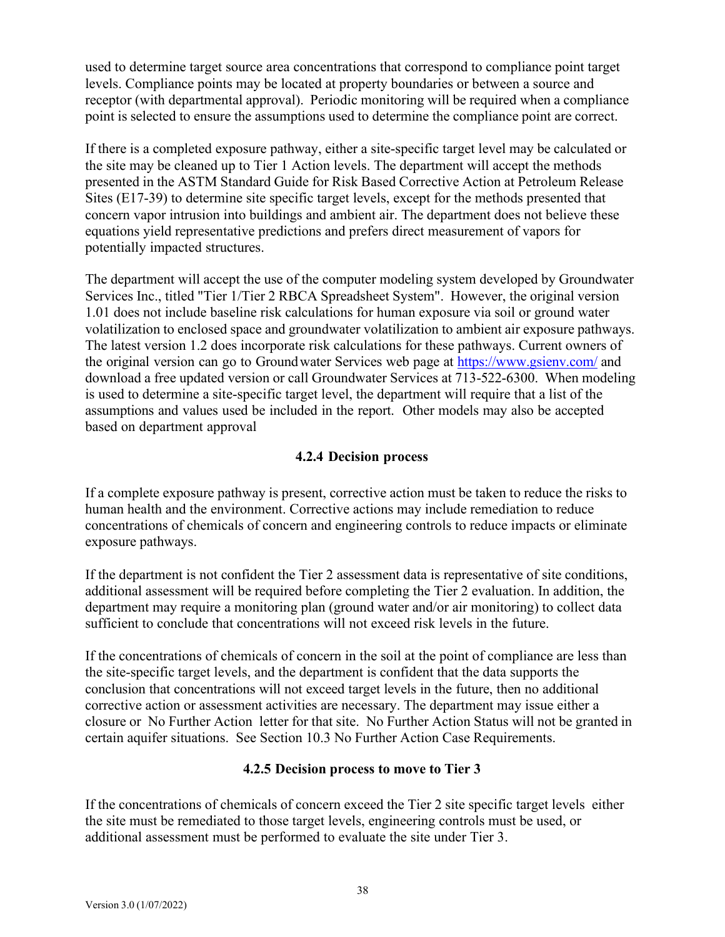used to determine target source area concentrations that correspond to compliance point target levels. Compliance points may be located at property boundaries or between a source and receptor (with departmental approval). Periodic monitoring will be required when a compliance point is selected to ensure the assumptions used to determine the compliance point are correct.

If there is a completed exposure pathway, either a site-specific target level may be calculated or the site may be cleaned up to Tier 1 Action levels. The department will accept the methods presented in the ASTM Standard Guide for Risk Based Corrective Action at Petroleum Release Sites (E17-39) to determine site specific target levels, except for the methods presented that concern vapor intrusion into buildings and ambient air. The department does not believe these equations yield representative predictions and prefers direct measurement of vapors for potentially impacted structures.

The department will accept the use of the computer modeling system developed by Groundwater Services Inc., titled "Tier 1/Tier 2 RBCA Spreadsheet System". However, the original version 1.01 does not include baseline risk calculations for human exposure via soil or ground water volatilization to enclosed space and groundwater volatilization to ambient air exposure pathways. The latest version 1.2 does incorporate risk calculations for these pathways. Current owners of the original version can go to Groundwater Services web page at <https://www.gsienv.com/> and download a free updated version or call Groundwater Services at 713-522-6300. When modeling is used to determine a site-specific target level, the department will require that a list of the assumptions and values used be included in the report. Other models may also be accepted based on department approval

### **4.2.4 Decision process**

If a complete exposure pathway is present, corrective action must be taken to reduce the risks to human health and the environment. Corrective actions may include remediation to reduce concentrations of chemicals of concern and engineering controls to reduce impacts or eliminate exposure pathways.

If the department is not confident the Tier 2 assessment data is representative of site conditions, additional assessment will be required before completing the Tier 2 evaluation. In addition, the department may require a monitoring plan (ground water and/or air monitoring) to collect data sufficient to conclude that concentrations will not exceed risk levels in the future.

If the concentrations of chemicals of concern in the soil at the point of compliance are less than the site-specific target levels, and the department is confident that the data supports the conclusion that concentrations will not exceed target levels in the future, then no additional corrective action or assessment activities are necessary. The department may issue either a closure or No Further Action letter for that site. No Further Action Status will not be granted in certain aquifer situations. See Section 10.3 No Further Action Case Requirements.

## **4.2.5 Decision process to move to Tier 3**

If the concentrations of chemicals of concern exceed the Tier 2 site specific target levels either the site must be remediated to those target levels, engineering controls must be used, or additional assessment must be performed to evaluate the site under Tier 3.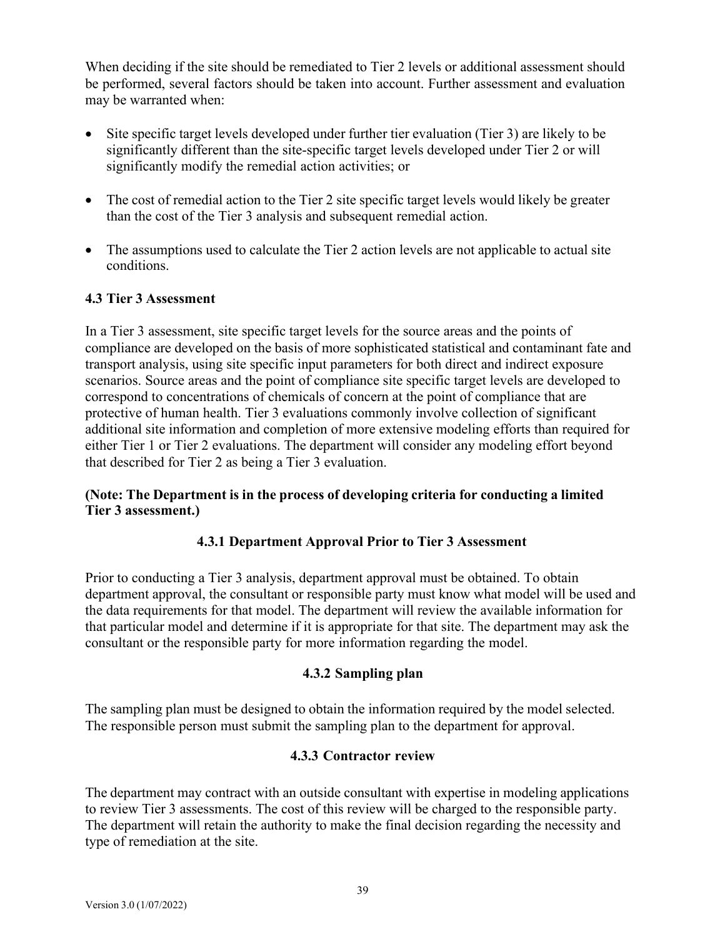When deciding if the site should be remediated to Tier 2 levels or additional assessment should be performed, several factors should be taken into account. Further assessment and evaluation may be warranted when:

- Site specific target levels developed under further tier evaluation (Tier 3) are likely to be significantly different than the site-specific target levels developed under Tier 2 or will significantly modify the remedial action activities; or
- The cost of remedial action to the Tier 2 site specific target levels would likely be greater than the cost of the Tier 3 analysis and subsequent remedial action.
- The assumptions used to calculate the Tier 2 action levels are not applicable to actual site conditions.

## **4.3 Tier 3 Assessment**

In a Tier 3 assessment, site specific target levels for the source areas and the points of compliance are developed on the basis of more sophisticated statistical and contaminant fate and transport analysis, using site specific input parameters for both direct and indirect exposure scenarios. Source areas and the point of compliance site specific target levels are developed to correspond to concentrations of chemicals of concern at the point of compliance that are protective of human health. Tier 3 evaluations commonly involve collection of significant additional site information and completion of more extensive modeling efforts than required for either Tier 1 or Tier 2 evaluations. The department will consider any modeling effort beyond that described for Tier 2 as being a Tier 3 evaluation.

### **(Note: The Department is in the process of developing criteria for conducting a limited Tier 3 assessment.)**

### **4.3.1 Department Approval Prior to Tier 3 Assessment**

Prior to conducting a Tier 3 analysis, department approval must be obtained. To obtain department approval, the consultant or responsible party must know what model will be used and the data requirements for that model. The department will review the available information for that particular model and determine if it is appropriate for that site. The department may ask the consultant or the responsible party for more information regarding the model.

#### **4.3.2 Sampling plan**

The sampling plan must be designed to obtain the information required by the model selected. The responsible person must submit the sampling plan to the department for approval.

#### **4.3.3 Contractor review**

The department may contract with an outside consultant with expertise in modeling applications to review Tier 3 assessments. The cost of this review will be charged to the responsible party. The department will retain the authority to make the final decision regarding the necessity and type of remediation at the site.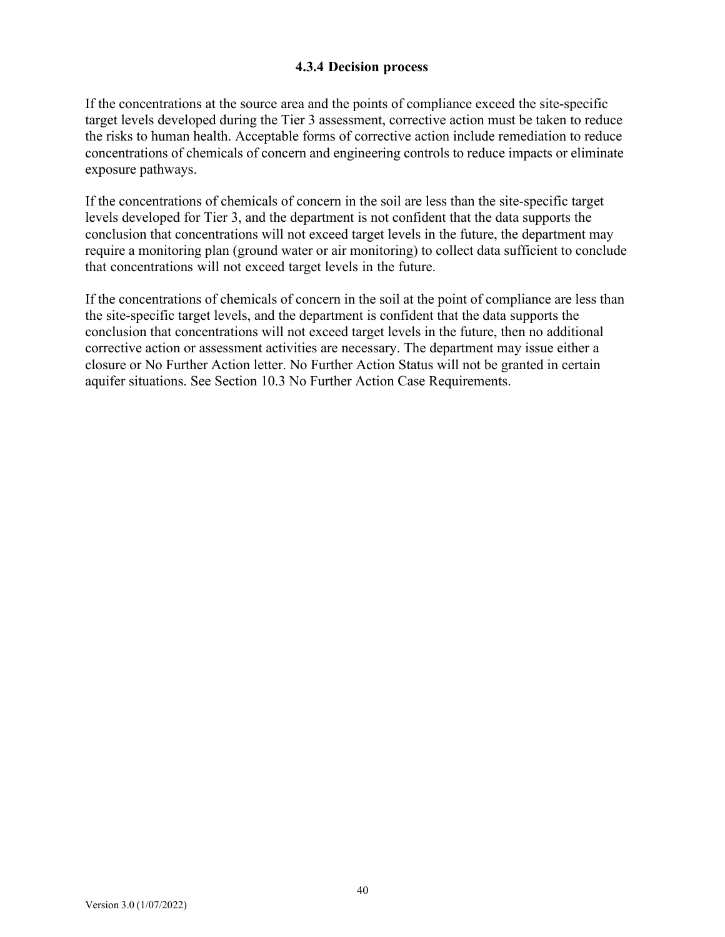#### **4.3.4 Decision process**

If the concentrations at the source area and the points of compliance exceed the site-specific target levels developed during the Tier 3 assessment, corrective action must be taken to reduce the risks to human health. Acceptable forms of corrective action include remediation to reduce concentrations of chemicals of concern and engineering controls to reduce impacts or eliminate exposure pathways.

If the concentrations of chemicals of concern in the soil are less than the site-specific target levels developed for Tier 3, and the department is not confident that the data supports the conclusion that concentrations will not exceed target levels in the future, the department may require a monitoring plan (ground water or air monitoring) to collect data sufficient to conclude that concentrations will not exceed target levels in the future.

If the concentrations of chemicals of concern in the soil at the point of compliance are less than the site-specific target levels, and the department is confident that the data supports the conclusion that concentrations will not exceed target levels in the future, then no additional corrective action or assessment activities are necessary. The department may issue either a closure or No Further Action letter. No Further Action Status will not be granted in certain aquifer situations. See Section 10.3 No Further Action Case Requirements.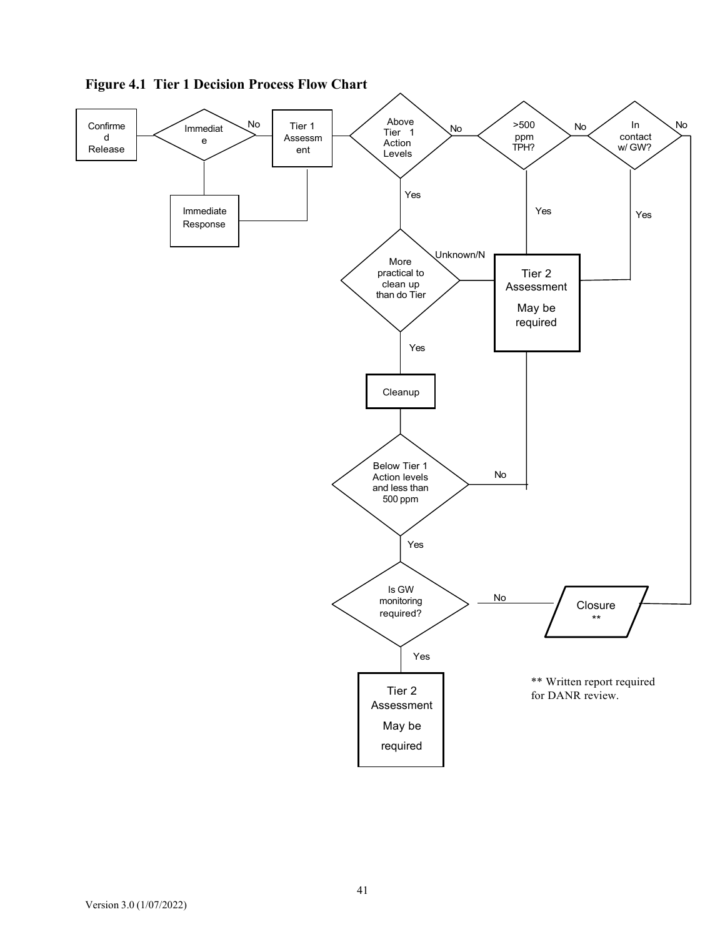

**Figure 4.1 Tier 1 Decision Process Flow Chart**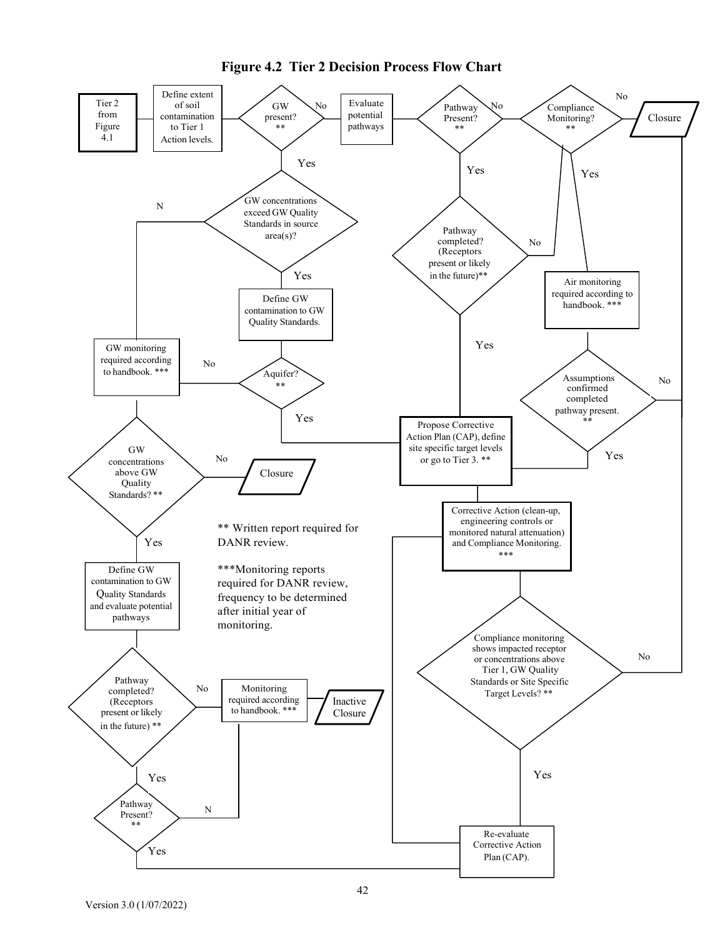

**Figure 4.2 Tier 2 Decision Process Flow Chart**